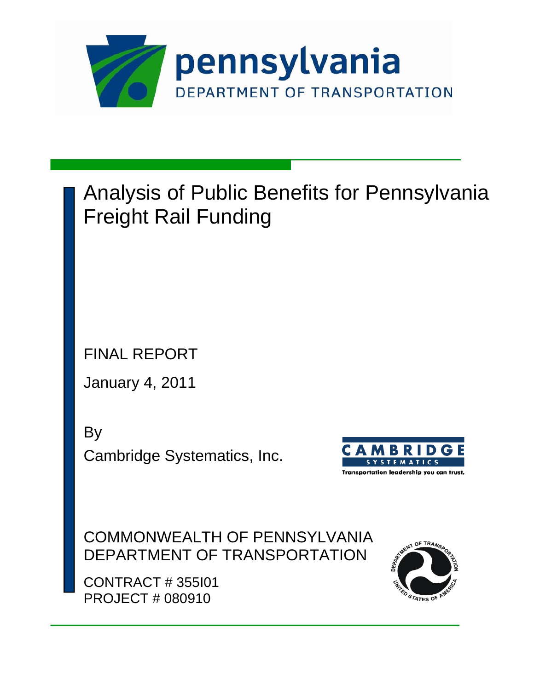

# Analysis of Public Benefits for Pennsylvania Freight Rail Funding

FINAL REPORT

January 4, 2011

By

Cambridge Systematics, Inc.



COMMONWEALTH OF PENNSYLVANIA DEPARTMENT OF TRANSPORTATION

CONTRACT # 355I01 PROJECT # 080910

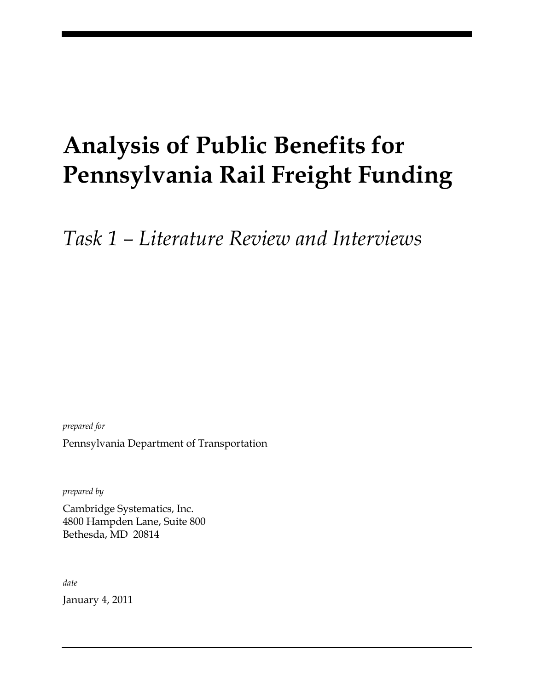# **Analysis of Public Benefits for Pennsylvania Rail Freight Funding**

*Task 1 – Literature Review and Interviews*

*prepared for* Pennsylvania Department of Transportation

*prepared by*

Cambridge Systematics, Inc. 4800 Hampden Lane, Suite 800 Bethesda, MD 20814

*date*

January 4, 2011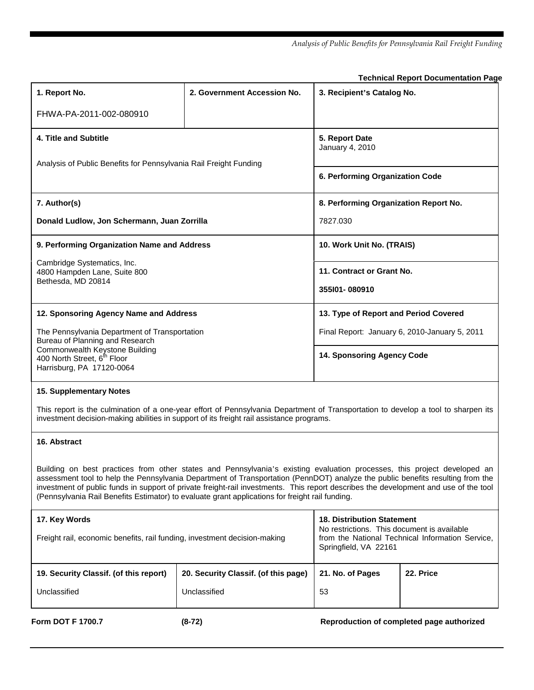*Analysis of Public Benefits for Pennsylvania Rail Freight Funding*

**Technical Report Documentation Page**

| 1. Report No.                                                                                                                                                                                                                                                                                                                                                                                                                                                                                         | 2. Government Accession No.          | . commodi nopont Boodmontanon . ay<br>3. Recipient's Catalog No.                 |           |
|-------------------------------------------------------------------------------------------------------------------------------------------------------------------------------------------------------------------------------------------------------------------------------------------------------------------------------------------------------------------------------------------------------------------------------------------------------------------------------------------------------|--------------------------------------|----------------------------------------------------------------------------------|-----------|
| FHWA-PA-2011-002-080910                                                                                                                                                                                                                                                                                                                                                                                                                                                                               |                                      |                                                                                  |           |
| 4. Title and Subtitle                                                                                                                                                                                                                                                                                                                                                                                                                                                                                 |                                      | 5. Report Date<br>January 4, 2010                                                |           |
| Analysis of Public Benefits for Pennsylvania Rail Freight Funding                                                                                                                                                                                                                                                                                                                                                                                                                                     |                                      | 6. Performing Organization Code                                                  |           |
| 7. Author(s)                                                                                                                                                                                                                                                                                                                                                                                                                                                                                          |                                      | 8. Performing Organization Report No.                                            |           |
| Donald Ludlow, Jon Schermann, Juan Zorrilla                                                                                                                                                                                                                                                                                                                                                                                                                                                           |                                      | 7827.030                                                                         |           |
| 9. Performing Organization Name and Address                                                                                                                                                                                                                                                                                                                                                                                                                                                           |                                      | 10. Work Unit No. (TRAIS)                                                        |           |
| Cambridge Systematics, Inc.<br>4800 Hampden Lane, Suite 800                                                                                                                                                                                                                                                                                                                                                                                                                                           |                                      | 11. Contract or Grant No.                                                        |           |
| Bethesda, MD 20814                                                                                                                                                                                                                                                                                                                                                                                                                                                                                    |                                      | 355101-080910                                                                    |           |
| 12. Sponsoring Agency Name and Address                                                                                                                                                                                                                                                                                                                                                                                                                                                                |                                      | 13. Type of Report and Period Covered                                            |           |
| The Pennsylvania Department of Transportation<br>Bureau of Planning and Research                                                                                                                                                                                                                                                                                                                                                                                                                      |                                      | Final Report: January 6, 2010-January 5, 2011                                    |           |
| Commonwealth Keystone Building<br>400 North Street, 6 <sup>th</sup> Floor<br>Harrisburg, PA 17120-0064                                                                                                                                                                                                                                                                                                                                                                                                |                                      | 14. Sponsoring Agency Code                                                       |           |
| <b>15. Supplementary Notes</b>                                                                                                                                                                                                                                                                                                                                                                                                                                                                        |                                      |                                                                                  |           |
| This report is the culmination of a one-year effort of Pennsylvania Department of Transportation to develop a tool to sharpen its<br>investment decision-making abilities in support of its freight rail assistance programs.                                                                                                                                                                                                                                                                         |                                      |                                                                                  |           |
| 16. Abstract                                                                                                                                                                                                                                                                                                                                                                                                                                                                                          |                                      |                                                                                  |           |
| Building on best practices from other states and Pennsylvania's existing evaluation processes, this project developed an<br>assessment tool to help the Pennsylvania Department of Transportation (PennDOT) analyze the public benefits resulting from the<br>investment of public funds in support of private freight-rail investments. This report describes the development and use of the tool<br>(Pennsylvania Rail Benefits Estimator) to evaluate grant applications for freight rail funding. |                                      |                                                                                  |           |
| 17. Key Words                                                                                                                                                                                                                                                                                                                                                                                                                                                                                         |                                      | <b>18. Distribution Statement</b><br>No restrictions. This document is available |           |
| Freight rail, economic benefits, rail funding, investment decision-making                                                                                                                                                                                                                                                                                                                                                                                                                             |                                      | from the National Technical Information Service,<br>Springfield, VA 22161        |           |
| 19. Security Classif. (of this report)                                                                                                                                                                                                                                                                                                                                                                                                                                                                | 20. Security Classif. (of this page) | 21. No. of Pages                                                                 | 22. Price |
| Unclassified                                                                                                                                                                                                                                                                                                                                                                                                                                                                                          | Unclassified                         | 53                                                                               |           |

Form DOT F 1700.7 **(8-72)** (8-72) **Reproduction of completed page authorized**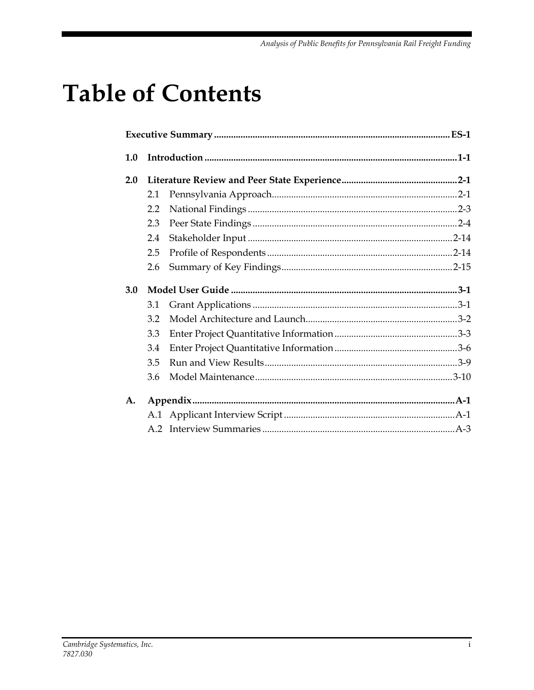# **Table of Contents**

| 1.0 |     |  |
|-----|-----|--|
| 2.0 |     |  |
|     | 2.1 |  |
|     | 2.2 |  |
|     | 2.3 |  |
|     | 2.4 |  |
|     | 2.5 |  |
|     | 2.6 |  |
|     |     |  |
| 3.0 |     |  |
|     | 3.1 |  |
|     | 3.2 |  |
|     | 3.3 |  |
|     | 3.4 |  |
|     | 3.5 |  |
|     | 3.6 |  |
| A.  |     |  |
|     |     |  |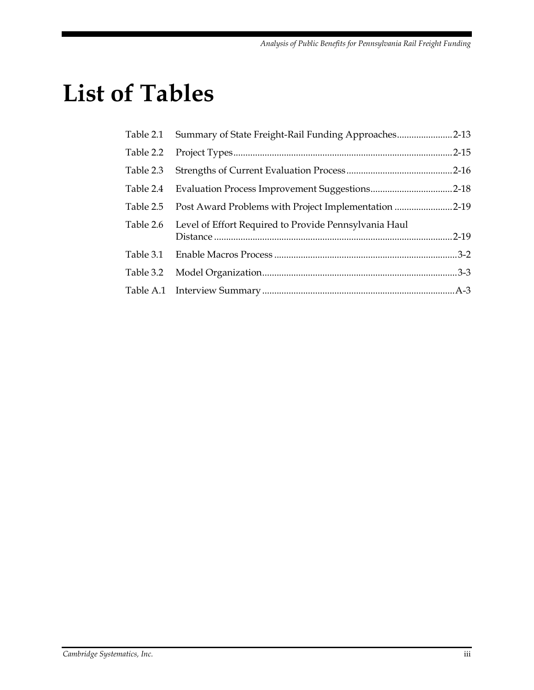# **List of Tables**

| Table 2.1 | Summary of State Freight-Rail Funding Approaches2-13  |  |
|-----------|-------------------------------------------------------|--|
| Table 2.2 |                                                       |  |
| Table 2.3 |                                                       |  |
| Table 2.4 |                                                       |  |
| Table 2.5 | Post Award Problems with Project Implementation 2-19  |  |
| Table 2.6 | Level of Effort Required to Provide Pennsylvania Haul |  |
|           |                                                       |  |
| Table 3.2 |                                                       |  |
|           |                                                       |  |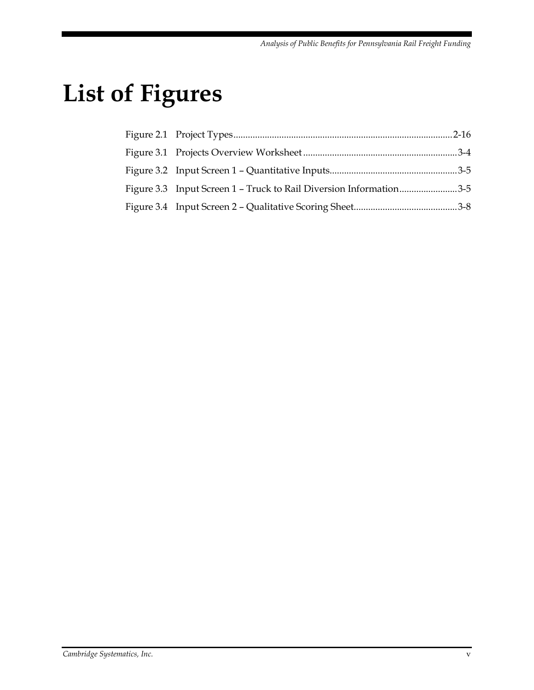# **List of Figures**

| Figure 3.3 Input Screen 1 - Truck to Rail Diversion Information3-5 |  |
|--------------------------------------------------------------------|--|
|                                                                    |  |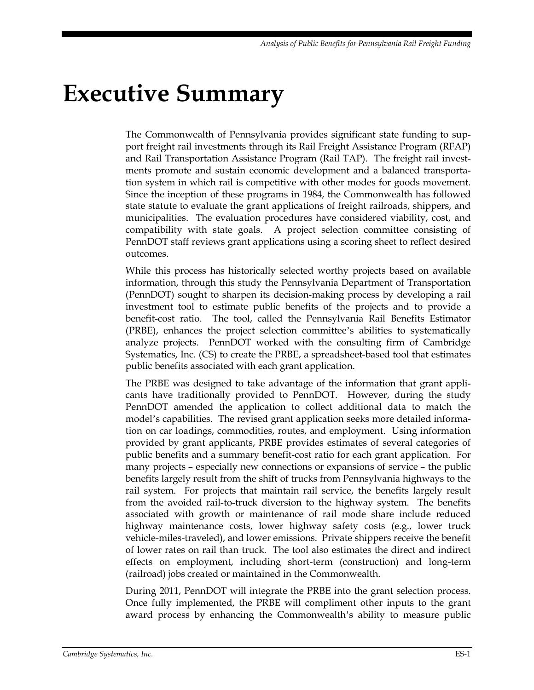# <span id="page-12-0"></span>**Executive Summary**

The Commonwealth of Pennsylvania provides significant state funding to support freight rail investments through its Rail Freight Assistance Program (RFAP) and Rail Transportation Assistance Program (Rail TAP). The freight rail investments promote and sustain economic development and a balanced transportation system in which rail is competitive with other modes for goods movement. Since the inception of these programs in 1984, the Commonwealth has followed state statute to evaluate the grant applications of freight railroads, shippers, and municipalities. The evaluation procedures have considered viability, cost, and compatibility with state goals. A project selection committee consisting of PennDOT staff reviews grant applications using a scoring sheet to reflect desired outcomes.

While this process has historically selected worthy projects based on available information, through this study the Pennsylvania Department of Transportation (PennDOT) sought to sharpen its decision-making process by developing a rail investment tool to estimate public benefits of the projects and to provide a benefit-cost ratio. The tool, called the Pennsylvania Rail Benefits Estimator (PRBE), enhances the project selection committee's abilities to systematically analyze projects. PennDOT worked with the consulting firm of Cambridge Systematics, Inc. (CS) to create the PRBE, a spreadsheet-based tool that estimates public benefits associated with each grant application.

The PRBE was designed to take advantage of the information that grant applicants have traditionally provided to PennDOT. However, during the study PennDOT amended the application to collect additional data to match the model's capabilities. The revised grant application seeks more detailed information on car loadings, commodities, routes, and employment. Using information provided by grant applicants, PRBE provides estimates of several categories of public benefits and a summary benefit-cost ratio for each grant application. For many projects – especially new connections or expansions of service – the public benefits largely result from the shift of trucks from Pennsylvania highways to the rail system. For projects that maintain rail service, the benefits largely result from the avoided rail-to-truck diversion to the highway system. The benefits associated with growth or maintenance of rail mode share include reduced highway maintenance costs, lower highway safety costs (e.g., lower truck vehicle-miles-traveled), and lower emissions. Private shippers receive the benefit of lower rates on rail than truck. The tool also estimates the direct and indirect effects on employment, including short-term (construction) and long-term (railroad) jobs created or maintained in the Commonwealth.

During 2011, PennDOT will integrate the PRBE into the grant selection process. Once fully implemented, the PRBE will compliment other inputs to the grant award process by enhancing the Commonwealth's ability to measure public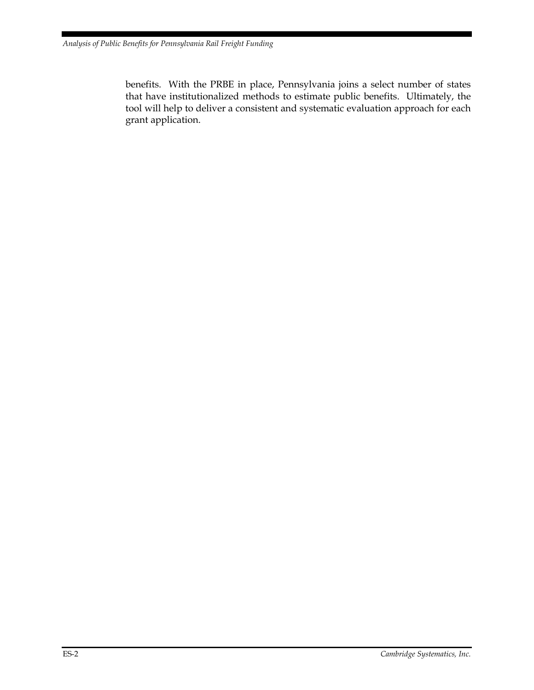benefits. With the PRBE in place, Pennsylvania joins a select number of states that have institutionalized methods to estimate public benefits. Ultimately, the tool will help to deliver a consistent and systematic evaluation approach for each grant application.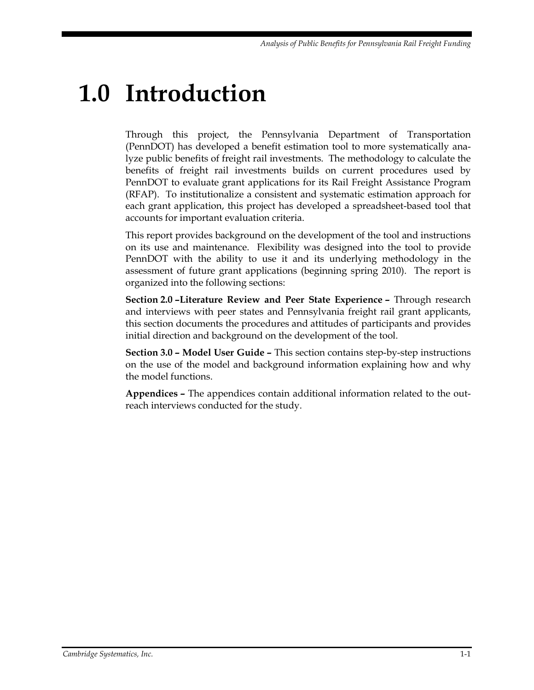# <span id="page-14-0"></span>**1.0 Introduction**

Through this project, the Pennsylvania Department of Transportation (PennDOT) has developed a benefit estimation tool to more systematically analyze public benefits of freight rail investments. The methodology to calculate the benefits of freight rail investments builds on current procedures used by PennDOT to evaluate grant applications for its Rail Freight Assistance Program (RFAP). To institutionalize a consistent and systematic estimation approach for each grant application, this project has developed a spreadsheet-based tool that accounts for important evaluation criteria.

This report provides background on the development of the tool and instructions on its use and maintenance. Flexibility was designed into the tool to provide PennDOT with the ability to use it and its underlying methodology in the assessment of future grant applications (beginning spring 2010). The report is organized into the following sections:

**Section 2.0 –Literature Review and Peer State Experience –** Through research and interviews with peer states and Pennsylvania freight rail grant applicants, this section documents the procedures and attitudes of participants and provides initial direction and background on the development of the tool.

**Section 3.0 – Model User Guide –** This section contains step-by-step instructions on the use of the model and background information explaining how and why the model functions.

**Appendices –** The appendices contain additional information related to the outreach interviews conducted for the study.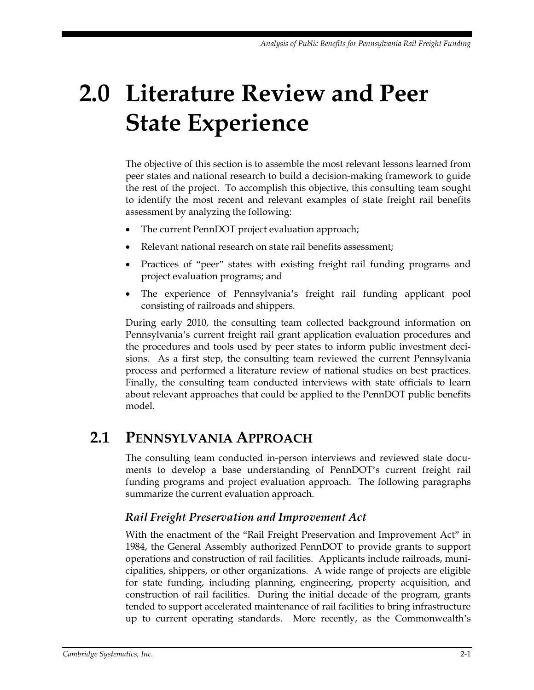# <span id="page-16-0"></span>**2.0 Literature Review and Peer State Experience**

The objective of this section is to assemble the most relevant lessons learned from peer states and national research to build a decision-making framework to guide the rest of the project. To accomplish this objective, this consulting team sought to identify the most recent and relevant examples of state freight rail benefits assessment by analyzing the following:

- The current PennDOT project evaluation approach;
- Relevant national research on state rail benefits assessment;
- Practices of "peer" states with existing freight rail funding programs and project evaluation programs; and
- The experience of Pennsylvania's freight rail funding applicant pool consisting of railroads and shippers.

During early 2010, the consulting team collected background information on Pennsylvania's current freight rail grant application evaluation procedures and the procedures and tools used by peer states to inform public investment decisions. As a first step, the consulting team reviewed the current Pennsylvania process and performed a literature review of national studies on best practices. Finally, the consulting team conducted interviews with state officials to learn about relevant approaches that could be applied to the PennDOT public benefits model.

## <span id="page-16-1"></span>**2.1 PENNSYLVANIA APPROACH**

The consulting team conducted in-person interviews and reviewed state documents to develop a base understanding of PennDOT's current freight rail funding programs and project evaluation approach. The following paragraphs summarize the current evaluation approach.

#### *Rail Freight Preservation and Improvement Act*

With the enactment of the "Rail Freight Preservation and Improvement Act" in 1984, the General Assembly authorized PennDOT to provide grants to support operations and construction of rail facilities. Applicants include railroads, municipalities, shippers, or other organizations. A wide range of projects are eligible for state funding, including planning, engineering, property acquisition, and construction of rail facilities. During the initial decade of the program, grants tended to support accelerated maintenance of rail facilities to bring infrastructure up to current operating standards. More recently, as the Commonwealth's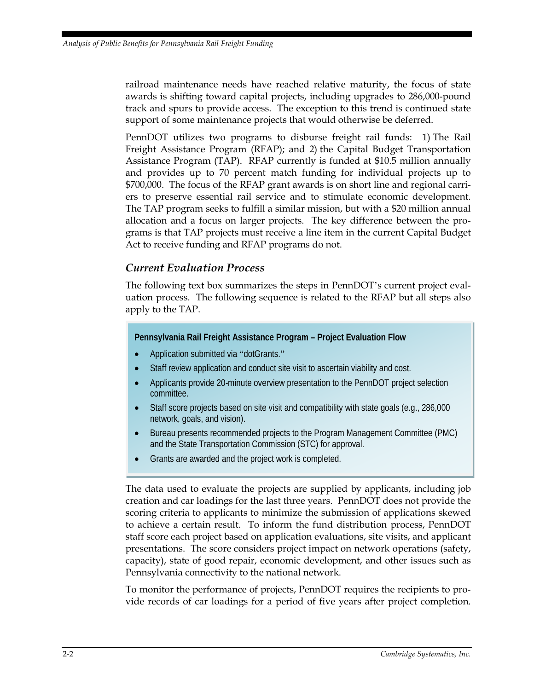railroad maintenance needs have reached relative maturity, the focus of state awards is shifting toward capital projects, including upgrades to 286,000-pound track and spurs to provide access. The exception to this trend is continued state support of some maintenance projects that would otherwise be deferred.

PennDOT utilizes two programs to disburse freight rail funds: 1) The Rail Freight Assistance Program (RFAP); and 2) the Capital Budget Transportation Assistance Program (TAP). RFAP currently is funded at \$10.5 million annually and provides up to 70 percent match funding for individual projects up to \$700,000. The focus of the RFAP grant awards is on short line and regional carriers to preserve essential rail service and to stimulate economic development. The TAP program seeks to fulfill a similar mission, but with a \$20 million annual allocation and a focus on larger projects. The key difference between the programs is that TAP projects must receive a line item in the current Capital Budget Act to receive funding and RFAP programs do not.

#### *Current Evaluation Process*

The following text box summarizes the steps in PennDOT's current project evaluation process. The following sequence is related to the RFAP but all steps also apply to the TAP.

#### **Pennsylvania Rail Freight Assistance Program – Project Evaluation Flow**

- Application submitted via "dotGrants."
- Staff review application and conduct site visit to ascertain viability and cost.
- Applicants provide 20-minute overview presentation to the PennDOT project selection committee.
- Staff score projects based on site visit and compatibility with state goals (e.g., 286,000 network, goals, and vision).
- Bureau presents recommended projects to the Program Management Committee (PMC) and the State Transportation Commission (STC) for approval.
- Grants are awarded and the project work is completed.

The data used to evaluate the projects are supplied by applicants, including job creation and car loadings for the last three years. PennDOT does not provide the scoring criteria to applicants to minimize the submission of applications skewed to achieve a certain result. To inform the fund distribution process, PennDOT staff score each project based on application evaluations, site visits, and applicant presentations. The score considers project impact on network operations (safety, capacity), state of good repair, economic development, and other issues such as Pennsylvania connectivity to the national network.

To monitor the performance of projects, PennDOT requires the recipients to provide records of car loadings for a period of five years after project completion.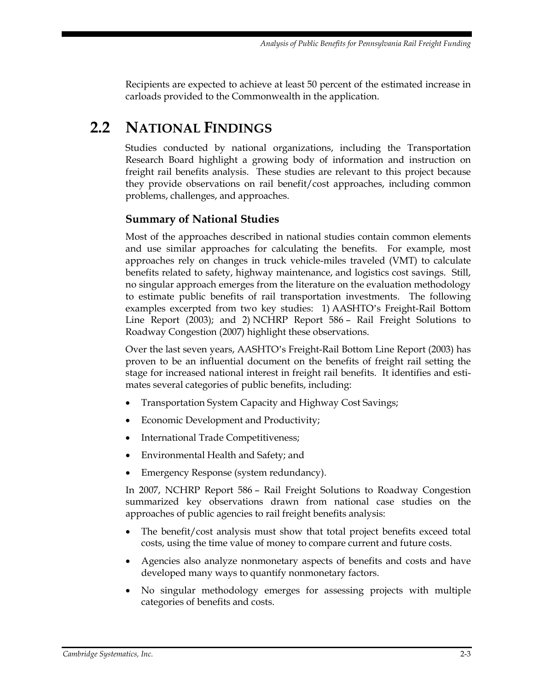Recipients are expected to achieve at least 50 percent of the estimated increase in carloads provided to the Commonwealth in the application.

# <span id="page-18-0"></span>**2.2 NATIONAL FINDINGS**

Studies conducted by national organizations, including the Transportation Research Board highlight a growing body of information and instruction on freight rail benefits analysis. These studies are relevant to this project because they provide observations on rail benefit/cost approaches, including common problems, challenges, and approaches.

#### **Summary of National Studies**

Most of the approaches described in national studies contain common elements and use similar approaches for calculating the benefits. For example, most approaches rely on changes in truck vehicle-miles traveled (VMT) to calculate benefits related to safety, highway maintenance, and logistics cost savings. Still, no singular approach emerges from the literature on the evaluation methodology to estimate public benefits of rail transportation investments. The following examples excerpted from two key studies: 1) AASHTO's Freight-Rail Bottom Line Report (2003); and 2) NCHRP Report 586 – Rail Freight Solutions to Roadway Congestion (2007) highlight these observations.

Over the last seven years, AASHTO's Freight-Rail Bottom Line Report (2003) has proven to be an influential document on the benefits of freight rail setting the stage for increased national interest in freight rail benefits. It identifies and estimates several categories of public benefits, including:

- Transportation System Capacity and Highway Cost Savings;
- Economic Development and Productivity;
- International Trade Competitiveness;
- Environmental Health and Safety; and
- Emergency Response (system redundancy).

In 2007, NCHRP Report 586 – Rail Freight Solutions to Roadway Congestion summarized key observations drawn from national case studies on the approaches of public agencies to rail freight benefits analysis:

- The benefit/cost analysis must show that total project benefits exceed total costs, using the time value of money to compare current and future costs.
- Agencies also analyze nonmonetary aspects of benefits and costs and have developed many ways to quantify nonmonetary factors.
- No singular methodology emerges for assessing projects with multiple categories of benefits and costs.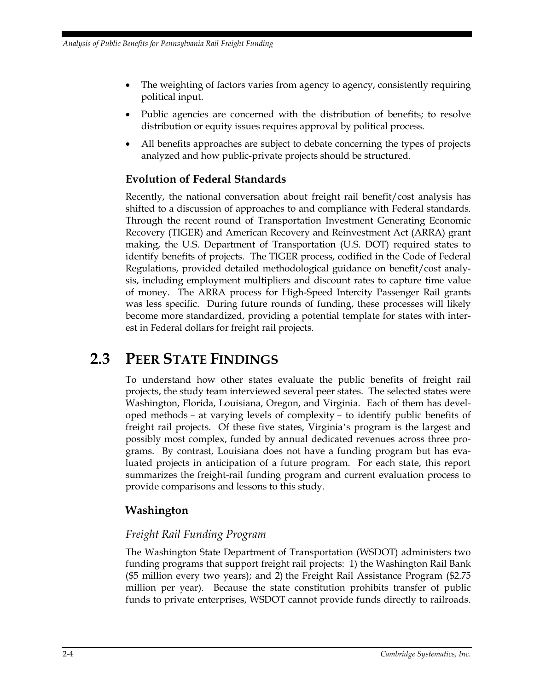- The weighting of factors varies from agency to agency, consistently requiring political input.
- Public agencies are concerned with the distribution of benefits; to resolve distribution or equity issues requires approval by political process.
- All benefits approaches are subject to debate concerning the types of projects analyzed and how public-private projects should be structured.

## **Evolution of Federal Standards**

Recently, the national conversation about freight rail benefit/cost analysis has shifted to a discussion of approaches to and compliance with Federal standards. Through the recent round of Transportation Investment Generating Economic Recovery (TIGER) and American Recovery and Reinvestment Act (ARRA) grant making, the U.S. Department of Transportation (U.S. DOT) required states to identify benefits of projects. The TIGER process, codified in the Code of Federal Regulations, provided detailed methodological guidance on benefit/cost analysis, including employment multipliers and discount rates to capture time value of money. The ARRA process for High-Speed Intercity Passenger Rail grants was less specific. During future rounds of funding, these processes will likely become more standardized, providing a potential template for states with interest in Federal dollars for freight rail projects.

## <span id="page-19-0"></span>**2.3 PEER STATE FINDINGS**

To understand how other states evaluate the public benefits of freight rail projects, the study team interviewed several peer states. The selected states were Washington, Florida, Louisiana, Oregon, and Virginia. Each of them has developed methods – at varying levels of complexity – to identify public benefits of freight rail projects. Of these five states, Virginia's program is the largest and possibly most complex, funded by annual dedicated revenues across three programs. By contrast, Louisiana does not have a funding program but has evaluated projects in anticipation of a future program. For each state, this report summarizes the freight-rail funding program and current evaluation process to provide comparisons and lessons to this study.

## **Washington**

#### *Freight Rail Funding Program*

The Washington State Department of Transportation (WSDOT) administers two funding programs that support freight rail projects: 1) the Washington Rail Bank (\$5 million every two years); and 2) the Freight Rail Assistance Program (\$2.75 million per year). Because the state constitution prohibits transfer of public funds to private enterprises, WSDOT cannot provide funds directly to railroads.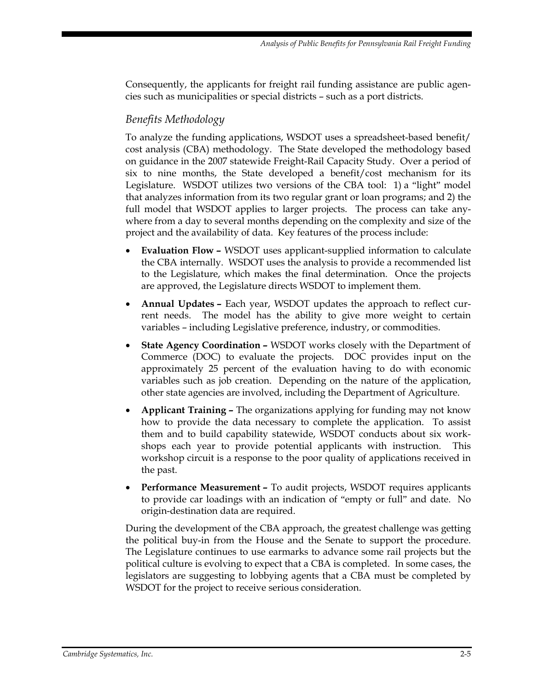Consequently, the applicants for freight rail funding assistance are public agencies such as municipalities or special districts – such as a port districts.

### *Benefits Methodology*

To analyze the funding applications, WSDOT uses a spreadsheet-based benefit/ cost analysis (CBA) methodology. The State developed the methodology based on guidance in the 2007 statewide Freight-Rail Capacity Study. Over a period of six to nine months, the State developed a benefit/cost mechanism for its Legislature. WSDOT utilizes two versions of the CBA tool: 1) a "light" model that analyzes information from its two regular grant or loan programs; and 2) the full model that WSDOT applies to larger projects. The process can take anywhere from a day to several months depending on the complexity and size of the project and the availability of data. Key features of the process include:

- **Evaluation Flow –** WSDOT uses applicant-supplied information to calculate the CBA internally. WSDOT uses the analysis to provide a recommended list to the Legislature, which makes the final determination. Once the projects are approved, the Legislature directs WSDOT to implement them.
- **Annual Updates –** Each year, WSDOT updates the approach to reflect current needs. The model has the ability to give more weight to certain variables – including Legislative preference, industry, or commodities.
- **State Agency Coordination –** WSDOT works closely with the Department of Commerce (DOC) to evaluate the projects. DOC provides input on the approximately 25 percent of the evaluation having to do with economic variables such as job creation. Depending on the nature of the application, other state agencies are involved, including the Department of Agriculture.
- **Applicant Training –** The organizations applying for funding may not know how to provide the data necessary to complete the application. To assist them and to build capability statewide, WSDOT conducts about six workshops each year to provide potential applicants with instruction. This workshop circuit is a response to the poor quality of applications received in the past.
- **Performance Measurement –** To audit projects, WSDOT requires applicants to provide car loadings with an indication of "empty or full" and date. No origin-destination data are required.

During the development of the CBA approach, the greatest challenge was getting the political buy-in from the House and the Senate to support the procedure. The Legislature continues to use earmarks to advance some rail projects but the political culture is evolving to expect that a CBA is completed. In some cases, the legislators are suggesting to lobbying agents that a CBA must be completed by WSDOT for the project to receive serious consideration.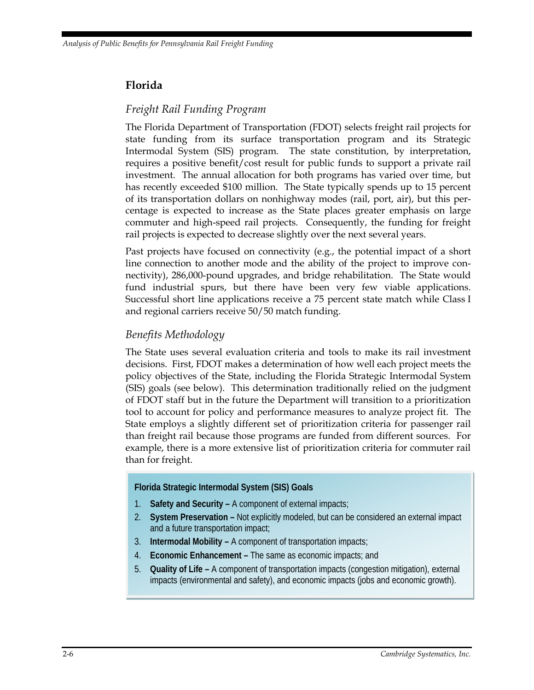### **Florida**

#### *Freight Rail Funding Program*

The Florida Department of Transportation (FDOT) selects freight rail projects for state funding from its surface transportation program and its Strategic Intermodal System (SIS) program. The state constitution, by interpretation, requires a positive benefit/cost result for public funds to support a private rail investment. The annual allocation for both programs has varied over time, but has recently exceeded \$100 million. The State typically spends up to 15 percent of its transportation dollars on nonhighway modes (rail, port, air), but this percentage is expected to increase as the State places greater emphasis on large commuter and high-speed rail projects. Consequently, the funding for freight rail projects is expected to decrease slightly over the next several years.

Past projects have focused on connectivity (e.g., the potential impact of a short line connection to another mode and the ability of the project to improve connectivity), 286,000-pound upgrades, and bridge rehabilitation. The State would fund industrial spurs, but there have been very few viable applications. Successful short line applications receive a 75 percent state match while Class I and regional carriers receive 50/50 match funding.

#### *Benefits Methodology*

The State uses several evaluation criteria and tools to make its rail investment decisions. First, FDOT makes a determination of how well each project meets the policy objectives of the State, including the Florida Strategic Intermodal System (SIS) goals (see below). This determination traditionally relied on the judgment of FDOT staff but in the future the Department will transition to a prioritization tool to account for policy and performance measures to analyze project fit. The State employs a slightly different set of prioritization criteria for passenger rail than freight rail because those programs are funded from different sources. For example, there is a more extensive list of prioritization criteria for commuter rail than for freight.

#### **Florida Strategic Intermodal System (SIS) Goals**

- 1. **Safety and Security –** A component of external impacts;
- 2. **System Preservation –** Not explicitly modeled, but can be considered an external impact and a future transportation impact;
- 3. **Intermodal Mobility –** A component of transportation impacts;
- 4. **Economic Enhancement –** The same as economic impacts; and
- 5. **Quality of Life –** A component of transportation impacts (congestion mitigation), external impacts (environmental and safety), and economic impacts (jobs and economic growth).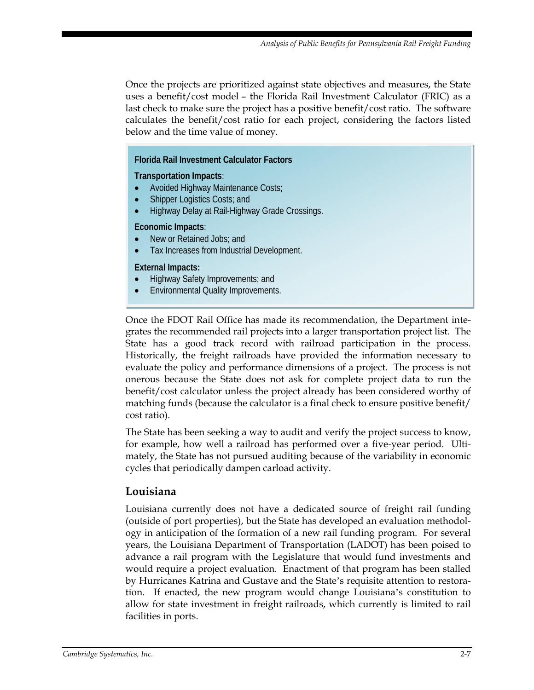Once the projects are prioritized against state objectives and measures, the State uses a benefit/cost model – the Florida Rail Investment Calculator (FRIC) as a last check to make sure the project has a positive benefit/cost ratio. The software calculates the benefit/cost ratio for each project, considering the factors listed below and the time value of money.

#### **Florida Rail Investment Calculator Factors**

#### **Transportation Impacts**:

- Avoided Highway Maintenance Costs;
- Shipper Logistics Costs; and
- Highway Delay at Rail-Highway Grade Crossings.

#### **Economic Impacts**:

- New or Retained Jobs; and
- Tax Increases from Industrial Development.

#### **External Impacts:**

- Highway Safety Improvements; and
- Environmental Quality Improvements.

Once the FDOT Rail Office has made its recommendation, the Department integrates the recommended rail projects into a larger transportation project list. The State has a good track record with railroad participation in the process. Historically, the freight railroads have provided the information necessary to evaluate the policy and performance dimensions of a project. The process is not onerous because the State does not ask for complete project data to run the benefit/cost calculator unless the project already has been considered worthy of matching funds (because the calculator is a final check to ensure positive benefit/ cost ratio).

The State has been seeking a way to audit and verify the project success to know, for example, how well a railroad has performed over a five-year period. Ultimately, the State has not pursued auditing because of the variability in economic cycles that periodically dampen carload activity.

#### **Louisiana**

Louisiana currently does not have a dedicated source of freight rail funding (outside of port properties), but the State has developed an evaluation methodology in anticipation of the formation of a new rail funding program. For several years, the Louisiana Department of Transportation (LADOT) has been poised to advance a rail program with the Legislature that would fund investments and would require a project evaluation. Enactment of that program has been stalled by Hurricanes Katrina and Gustave and the State's requisite attention to restoration. If enacted, the new program would change Louisiana's constitution to allow for state investment in freight railroads, which currently is limited to rail facilities in ports.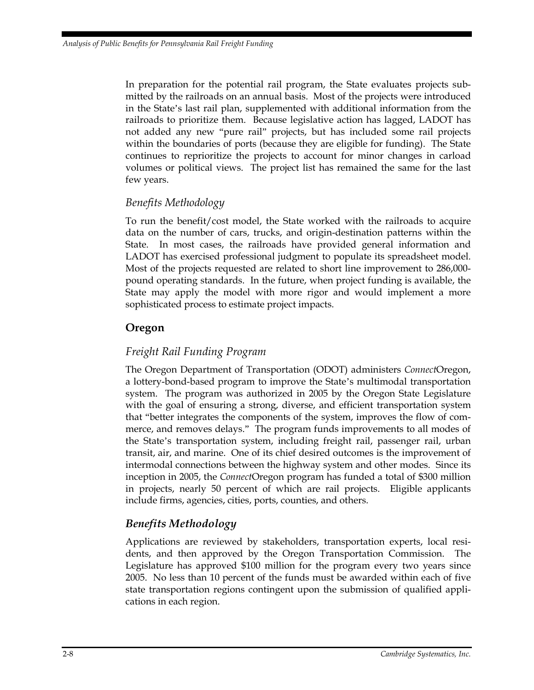In preparation for the potential rail program, the State evaluates projects submitted by the railroads on an annual basis. Most of the projects were introduced in the State's last rail plan, supplemented with additional information from the railroads to prioritize them. Because legislative action has lagged, LADOT has not added any new "pure rail" projects, but has included some rail projects within the boundaries of ports (because they are eligible for funding). The State continues to reprioritize the projects to account for minor changes in carload volumes or political views. The project list has remained the same for the last few years.

#### *Benefits Methodology*

To run the benefit/cost model, the State worked with the railroads to acquire data on the number of cars, trucks, and origin-destination patterns within the State. In most cases, the railroads have provided general information and LADOT has exercised professional judgment to populate its spreadsheet model. Most of the projects requested are related to short line improvement to 286,000 pound operating standards. In the future, when project funding is available, the State may apply the model with more rigor and would implement a more sophisticated process to estimate project impacts.

#### **Oregon**

#### *Freight Rail Funding Program*

The Oregon Department of Transportation (ODOT) administers *Connect*Oregon, a lottery-bond-based program to improve the State's multimodal transportation system. The program was authorized in 2005 by the Oregon State Legislature with the goal of ensuring a strong, diverse, and efficient transportation system that "better integrates the components of the system, improves the flow of commerce, and removes delays." The program funds improvements to all modes of the State's transportation system, including freight rail, passenger rail, urban transit, air, and marine. One of its chief desired outcomes is the improvement of intermodal connections between the highway system and other modes. Since its inception in 2005, the *Connect*Oregon program has funded a total of \$300 million in projects, nearly 50 percent of which are rail projects. Eligible applicants include firms, agencies, cities, ports, counties, and others.

## *Benefits Methodology*

Applications are reviewed by stakeholders, transportation experts, local residents, and then approved by the Oregon Transportation Commission. The Legislature has approved \$100 million for the program every two years since 2005. No less than 10 percent of the funds must be awarded within each of five state transportation regions contingent upon the submission of qualified applications in each region.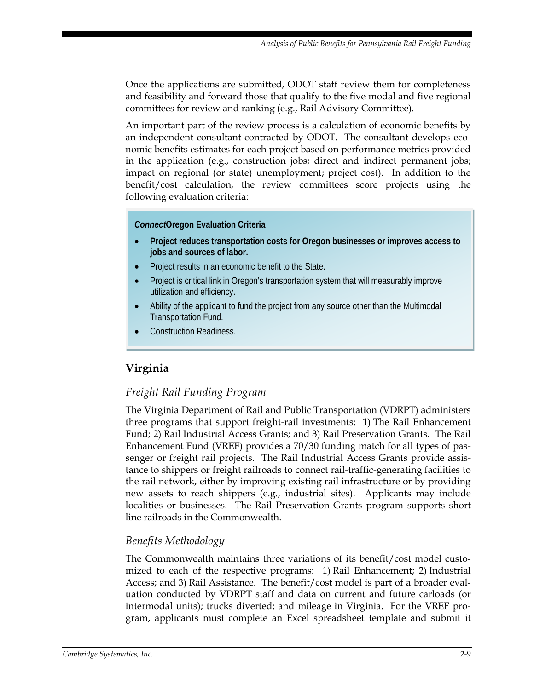Once the applications are submitted, ODOT staff review them for completeness and feasibility and forward those that qualify to the five modal and five regional committees for review and ranking (e.g., Rail Advisory Committee).

An important part of the review process is a calculation of economic benefits by an independent consultant contracted by ODOT. The consultant develops economic benefits estimates for each project based on performance metrics provided in the application (e.g., construction jobs; direct and indirect permanent jobs; impact on regional (or state) unemployment; project cost). In addition to the benefit/cost calculation, the review committees score projects using the following evaluation criteria:

#### *Connect***Oregon Evaluation Criteria**

- **Project reduces transportation costs for Oregon businesses or improves access to jobs and sources of labor.**
- Project results in an economic benefit to the State.
- Project is critical link in Oregon's transportation system that will measurably improve utilization and efficiency.
- Ability of the applicant to fund the project from any source other than the Multimodal Transportation Fund.
- Construction Readiness.

## **Virginia**

#### *Freight Rail Funding Program*

The Virginia Department of Rail and Public Transportation (VDRPT) administers three programs that support freight-rail investments: 1) The Rail Enhancement Fund; 2) Rail Industrial Access Grants; and 3) Rail Preservation Grants. The Rail Enhancement Fund (VREF) provides a 70/30 funding match for all types of passenger or freight rail projects. The Rail Industrial Access Grants provide assistance to shippers or freight railroads to connect rail-traffic-generating facilities to the rail network, either by improving existing rail infrastructure or by providing new assets to reach shippers (e.g., industrial sites). Applicants may include localities or businesses. The Rail Preservation Grants program supports short line railroads in the Commonwealth.

#### *Benefits Methodology*

The Commonwealth maintains three variations of its benefit/cost model customized to each of the respective programs: 1) Rail Enhancement; 2) Industrial Access; and 3) Rail Assistance. The benefit/cost model is part of a broader evaluation conducted by VDRPT staff and data on current and future carloads (or intermodal units); trucks diverted; and mileage in Virginia. For the VREF program, applicants must complete an Excel spreadsheet template and submit it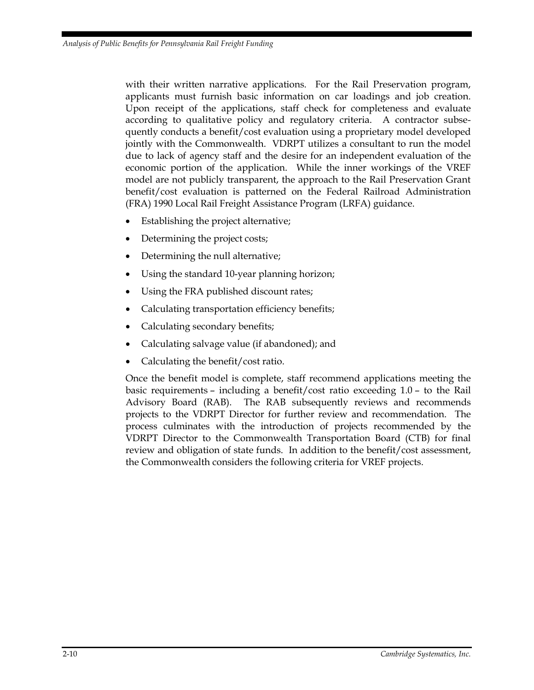with their written narrative applications. For the Rail Preservation program, applicants must furnish basic information on car loadings and job creation. Upon receipt of the applications, staff check for completeness and evaluate according to qualitative policy and regulatory criteria. A contractor subsequently conducts a benefit/cost evaluation using a proprietary model developed jointly with the Commonwealth. VDRPT utilizes a consultant to run the model due to lack of agency staff and the desire for an independent evaluation of the economic portion of the application. While the inner workings of the VREF model are not publicly transparent, the approach to the Rail Preservation Grant benefit/cost evaluation is patterned on the Federal Railroad Administration (FRA) 1990 Local Rail Freight Assistance Program (LRFA) guidance.

- Establishing the project alternative;
- Determining the project costs;
- Determining the null alternative;
- Using the standard 10-year planning horizon;
- Using the FRA published discount rates;
- Calculating transportation efficiency benefits;
- Calculating secondary benefits;
- Calculating salvage value (if abandoned); and
- Calculating the benefit/cost ratio.

Once the benefit model is complete, staff recommend applications meeting the basic requirements – including a benefit/cost ratio exceeding 1.0 – to the Rail Advisory Board (RAB). The RAB subsequently reviews and recommends projects to the VDRPT Director for further review and recommendation. The process culminates with the introduction of projects recommended by the VDRPT Director to the Commonwealth Transportation Board (CTB) for final review and obligation of state funds. In addition to the benefit/cost assessment, the Commonwealth considers the following criteria for VREF projects.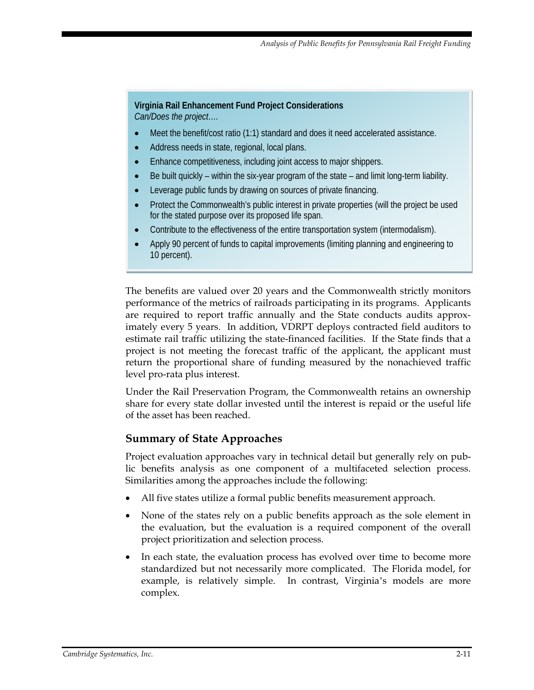#### **Virginia Rail Enhancement Fund Project Considerations** *Can/Does the project….*

Meet the benefit/cost ratio (1:1) standard and does it need accelerated assistance.

- Address needs in state, regional, local plans.
- Enhance competitiveness, including joint access to major shippers.
- Be built quickly within the six-year program of the state and limit long-term liability.
- Leverage public funds by drawing on sources of private financing.
- Protect the Commonwealth's public interest in private properties (will the project be used for the stated purpose over its proposed life span.
- Contribute to the effectiveness of the entire transportation system (intermodalism).
- Apply 90 percent of funds to capital improvements (limiting planning and engineering to 10 percent).

The benefits are valued over 20 years and the Commonwealth strictly monitors performance of the metrics of railroads participating in its programs. Applicants are required to report traffic annually and the State conducts audits approximately every 5 years. In addition, VDRPT deploys contracted field auditors to estimate rail traffic utilizing the state-financed facilities. If the State finds that a project is not meeting the forecast traffic of the applicant, the applicant must return the proportional share of funding measured by the nonachieved traffic level pro-rata plus interest.

Under the Rail Preservation Program, the Commonwealth retains an ownership share for every state dollar invested until the interest is repaid or the useful life of the asset has been reached.

#### **Summary of State Approaches**

Project evaluation approaches vary in technical detail but generally rely on public benefits analysis as one component of a multifaceted selection process. Similarities among the approaches include the following:

- All five states utilize a formal public benefits measurement approach.
- None of the states rely on a public benefits approach as the sole element in the evaluation, but the evaluation is a required component of the overall project prioritization and selection process.
- In each state, the evaluation process has evolved over time to become more standardized but not necessarily more complicated. The Florida model, for example, is relatively simple. In contrast, Virginia's models are more complex.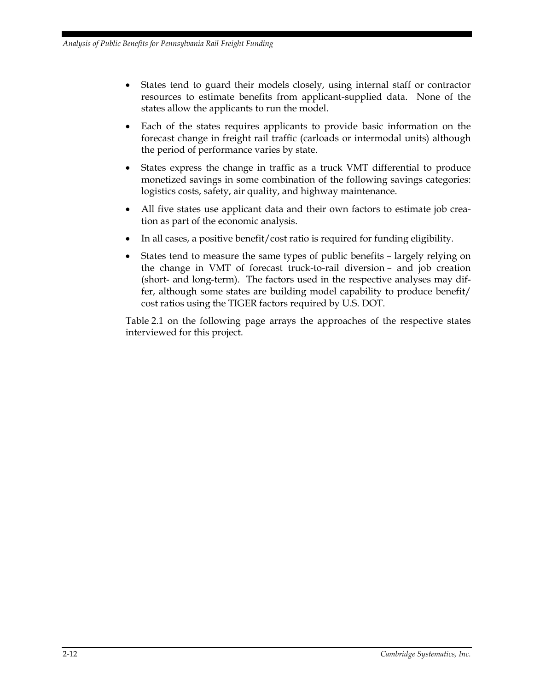- States tend to guard their models closely, using internal staff or contractor resources to estimate benefits from applicant-supplied data. None of the states allow the applicants to run the model.
- Each of the states requires applicants to provide basic information on the forecast change in freight rail traffic (carloads or intermodal units) although the period of performance varies by state.
- States express the change in traffic as a truck VMT differential to produce monetized savings in some combination of the following savings categories: logistics costs, safety, air quality, and highway maintenance.
- All five states use applicant data and their own factors to estimate job creation as part of the economic analysis.
- In all cases, a positive benefit/cost ratio is required for funding eligibility.
- States tend to measure the same types of public benefits largely relying on the change in VMT of forecast truck-to-rail diversion – and job creation (short- and long-term). The factors used in the respective analyses may differ, although some states are building model capability to produce benefit/ cost ratios using the TIGER factors required by U.S. DOT.

Table 2.1 on the following page arrays the approaches of the respective states interviewed for this project.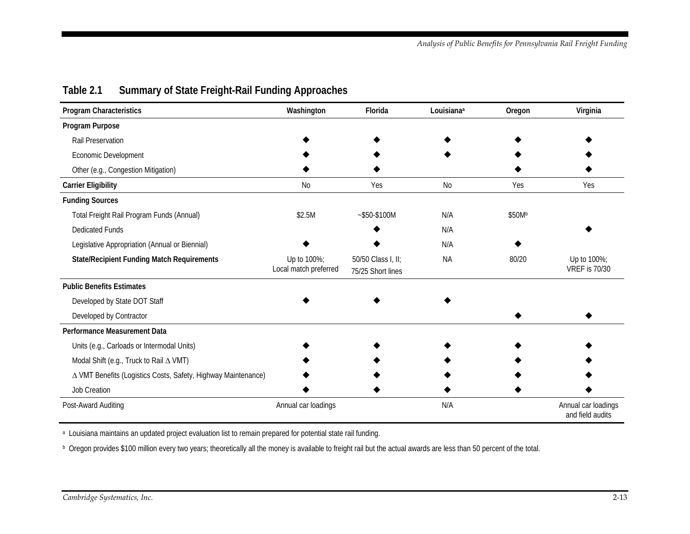<span id="page-28-0"></span>

| <b>Program Characteristics</b>                                | Washington                           | Florida                                 | Louisiana <sup>a</sup> | Oregon | Virginia                                |
|---------------------------------------------------------------|--------------------------------------|-----------------------------------------|------------------------|--------|-----------------------------------------|
| Program Purpose                                               |                                      |                                         |                        |        |                                         |
| Rail Preservation                                             |                                      |                                         |                        |        |                                         |
| Economic Development                                          |                                      |                                         |                        |        |                                         |
| Other (e.g., Congestion Mitigation)                           |                                      |                                         |                        |        |                                         |
| <b>Carrier Eligibility</b>                                    | <b>No</b>                            | Yes                                     | <b>No</b>              | Yes    | Yes                                     |
| <b>Funding Sources</b>                                        |                                      |                                         |                        |        |                                         |
| Total Freight Rail Program Funds (Annual)                     | \$2.5M                               | $-$ \$50-\$100M                         | N/A                    | \$50Mb |                                         |
| <b>Dedicated Funds</b>                                        |                                      |                                         | N/A                    |        |                                         |
| Legislative Appropriation (Annual or Biennial)                |                                      |                                         | N/A                    |        |                                         |
| <b>State/Recipient Funding Match Requirements</b>             | Up to 100%;<br>Local match preferred | 50/50 Class I, II;<br>75/25 Short lines | <b>NA</b>              | 80/20  | Up to 100%;<br><b>VREF is 70/30</b>     |
| <b>Public Benefits Estimates</b>                              |                                      |                                         |                        |        |                                         |
| Developed by State DOT Staff                                  |                                      |                                         |                        |        |                                         |
| Developed by Contractor                                       |                                      |                                         |                        |        |                                         |
| Performance Measurement Data                                  |                                      |                                         |                        |        |                                         |
| Units (e.g., Carloads or Intermodal Units)                    |                                      |                                         |                        |        |                                         |
| Modal Shift (e.g., Truck to Rail A VMT)                       |                                      |                                         |                        |        |                                         |
| △ VMT Benefits (Logistics Costs, Safety, Highway Maintenance) |                                      |                                         |                        |        |                                         |
| Job Creation                                                  |                                      |                                         |                        |        |                                         |
| Post-Award Auditing                                           | Annual car loadings                  |                                         | N/A                    |        | Annual car loadings<br>and field audits |

### **Table 2.1 Summary of State Freight-Rail Funding Approaches**

<sup>a</sup> Louisiana maintains an updated project evaluation list to remain prepared for potential state rail funding.

b Oregon provides \$100 million every two years; theoretically all the money is available to freight rail but the actual awards are less than 50 percent of the total.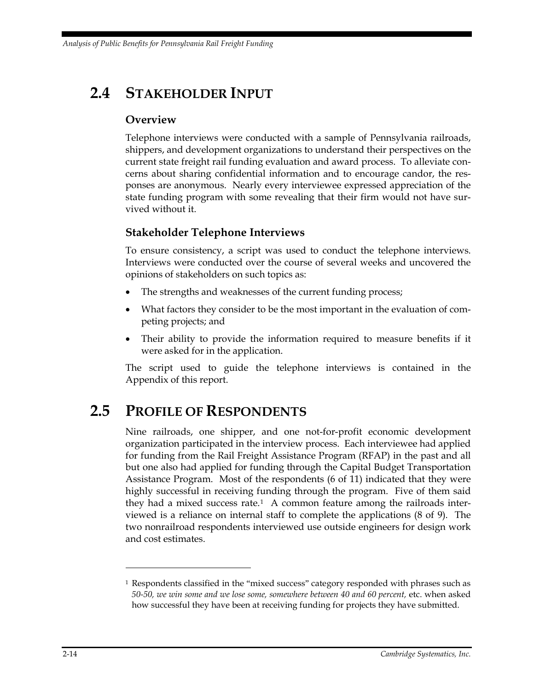*Analysis of Public Benefits for Pennsylvania Rail Freight Funding*

## <span id="page-29-0"></span>**2.4 STAKEHOLDER INPUT**

### **Overview**

Telephone interviews were conducted with a sample of Pennsylvania railroads, shippers, and development organizations to understand their perspectives on the current state freight rail funding evaluation and award process. To alleviate concerns about sharing confidential information and to encourage candor, the responses are anonymous. Nearly every interviewee expressed appreciation of the state funding program with some revealing that their firm would not have survived without it.

#### **Stakeholder Telephone Interviews**

To ensure consistency, a script was used to conduct the telephone interviews. Interviews were conducted over the course of several weeks and uncovered the opinions of stakeholders on such topics as:

- The strengths and weaknesses of the current funding process;
- What factors they consider to be the most important in the evaluation of competing projects; and
- Their ability to provide the information required to measure benefits if it were asked for in the application.

The script used to guide the telephone interviews is contained in the Appendix of this report.

## <span id="page-29-1"></span>**2.5 PROFILE OF RESPONDENTS**

Nine railroads, one shipper, and one not-for-profit economic development organization participated in the interview process. Each interviewee had applied for funding from the Rail Freight Assistance Program (RFAP) in the past and all but one also had applied for funding through the Capital Budget Transportation Assistance Program. Most of the respondents (6 of 11) indicated that they were highly successful in receiving funding through the program. Five of them said they had a mixed success rate.<sup>[1](#page-29-2)</sup> A common feature among the railroads interviewed is a reliance on internal staff to complete the applications (8 of 9). The two nonrailroad respondents interviewed use outside engineers for design work and cost estimates.

 $\overline{a}$ 

<span id="page-29-2"></span> $1$  Respondents classified in the "mixed success" category responded with phrases such as *50-50, we win some and we lose some, somewhere between 40 and 60 percent,* etc. when asked how successful they have been at receiving funding for projects they have submitted.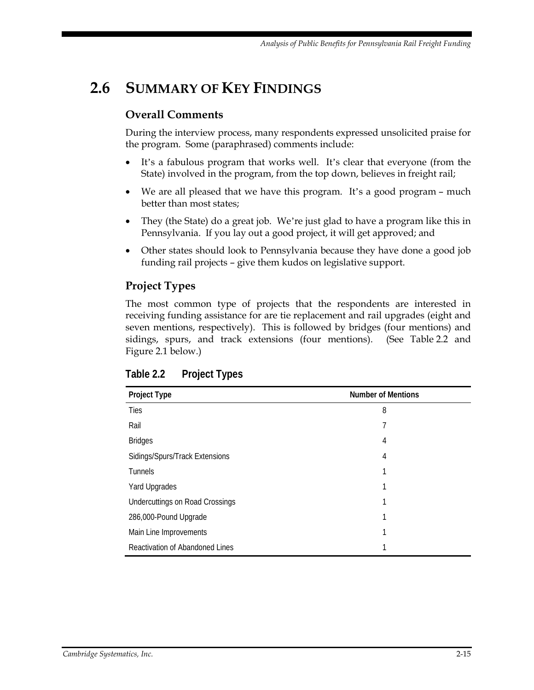## <span id="page-30-0"></span>**2.6 SUMMARY OF KEY FINDINGS**

#### **Overall Comments**

During the interview process, many respondents expressed unsolicited praise for the program. Some (paraphrased) comments include:

- It's a fabulous program that works well. It's clear that everyone (from the State) involved in the program, from the top down, believes in freight rail;
- We are all pleased that we have this program. It's a good program much better than most states;
- They (the State) do a great job. We're just glad to have a program like this in Pennsylvania. If you lay out a good project, it will get approved; and
- Other states should look to Pennsylvania because they have done a good job funding rail projects – give them kudos on legislative support.

### **Project Types**

The most common type of projects that the respondents are interested in receiving funding assistance for are tie replacement and rail upgrades (eight and seven mentions, respectively). This is followed by bridges (four mentions) and sidings, spurs, and track extensions (four mentions). (See Table 2.2 and Figure 2.1 below.)

| <b>Project Type</b>                    | <b>Number of Mentions</b> |
|----------------------------------------|---------------------------|
| Ties                                   | 8                         |
| Rail                                   | 7                         |
| <b>Bridges</b>                         | 4                         |
| Sidings/Spurs/Track Extensions         | 4                         |
| <b>Tunnels</b>                         |                           |
| Yard Upgrades                          |                           |
| <b>Undercuttings on Road Crossings</b> |                           |
| 286,000-Pound Upgrade                  |                           |
| Main Line Improvements                 |                           |
| Reactivation of Abandoned Lines        |                           |

<span id="page-30-1"></span>**Table 2.2 Project Types**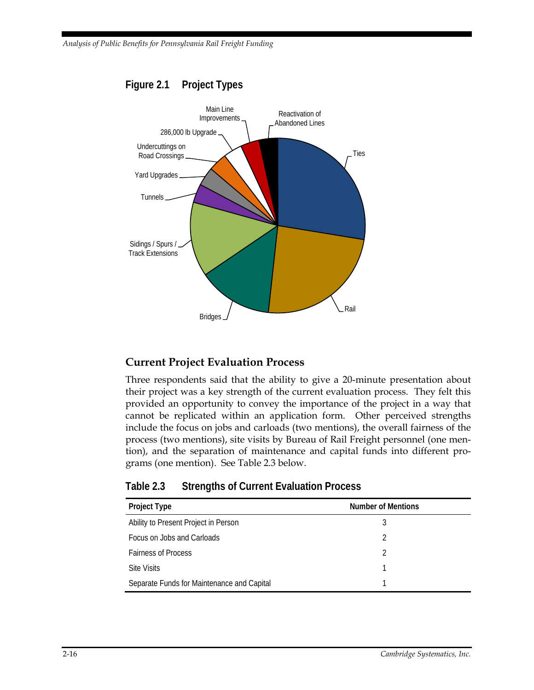

#### <span id="page-31-1"></span>**Figure 2.1 Project Types**

#### **Current Project Evaluation Process**

Three respondents said that the ability to give a 20-minute presentation about their project was a key strength of the current evaluation process. They felt this provided an opportunity to convey the importance of the project in a way that cannot be replicated within an application form. Other perceived strengths include the focus on jobs and carloads (two mentions), the overall fairness of the process (two mentions), site visits by Bureau of Rail Freight personnel (one mention), and the separation of maintenance and capital funds into different programs (one mention). See Table 2.3 below.

| Project Type                               | <b>Number of Mentions</b> |
|--------------------------------------------|---------------------------|
| Ability to Present Project in Person       | 3                         |
| Focus on Jobs and Carloads                 | C                         |
| <b>Fairness of Process</b>                 | C                         |
| <b>Site Visits</b>                         |                           |
| Separate Funds for Maintenance and Capital |                           |

<span id="page-31-0"></span>

| Table 2.3 | <b>Strengths of Current Evaluation Process</b> |  |
|-----------|------------------------------------------------|--|
|-----------|------------------------------------------------|--|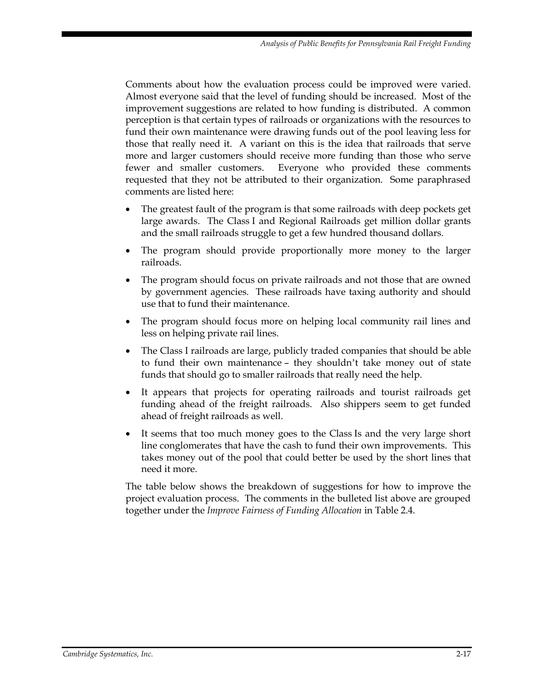Comments about how the evaluation process could be improved were varied. Almost everyone said that the level of funding should be increased. Most of the improvement suggestions are related to how funding is distributed. A common perception is that certain types of railroads or organizations with the resources to fund their own maintenance were drawing funds out of the pool leaving less for those that really need it. A variant on this is the idea that railroads that serve more and larger customers should receive more funding than those who serve fewer and smaller customers. Everyone who provided these comments requested that they not be attributed to their organization. Some paraphrased comments are listed here:

- The greatest fault of the program is that some railroads with deep pockets get large awards. The Class I and Regional Railroads get million dollar grants and the small railroads struggle to get a few hundred thousand dollars.
- The program should provide proportionally more money to the larger railroads.
- The program should focus on private railroads and not those that are owned by government agencies. These railroads have taxing authority and should use that to fund their maintenance.
- The program should focus more on helping local community rail lines and less on helping private rail lines.
- The Class I railroads are large, publicly traded companies that should be able to fund their own maintenance – they shouldn't take money out of state funds that should go to smaller railroads that really need the help.
- It appears that projects for operating railroads and tourist railroads get funding ahead of the freight railroads. Also shippers seem to get funded ahead of freight railroads as well.
- It seems that too much money goes to the Class Is and the very large short line conglomerates that have the cash to fund their own improvements. This takes money out of the pool that could better be used by the short lines that need it more.

The table below shows the breakdown of suggestions for how to improve the project evaluation process. The comments in the bulleted list above are grouped together under the *Improve Fairness of Funding Allocation* in Table 2.4.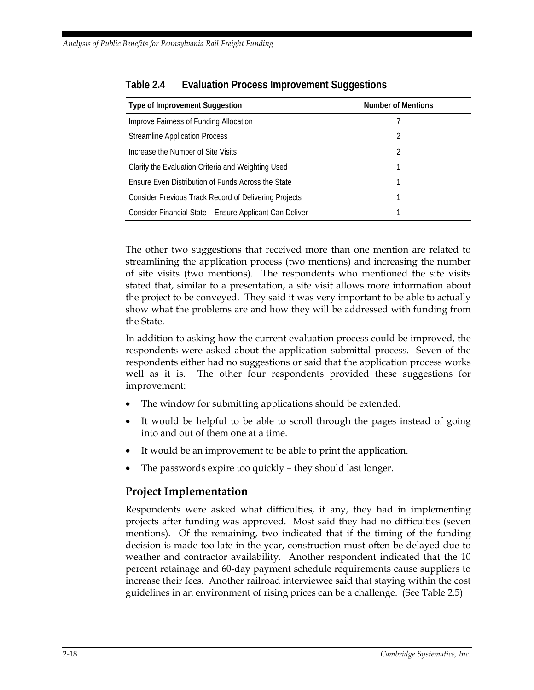| Type of Improvement Suggestion                               | <b>Number of Mentions</b> |  |
|--------------------------------------------------------------|---------------------------|--|
| Improve Fairness of Funding Allocation                       |                           |  |
| <b>Streamline Application Process</b>                        | 2                         |  |
| Increase the Number of Site Visits                           | 2                         |  |
| Clarify the Evaluation Criteria and Weighting Used           |                           |  |
| Ensure Even Distribution of Funds Across the State           |                           |  |
| <b>Consider Previous Track Record of Delivering Projects</b> |                           |  |
| Consider Financial State - Ensure Applicant Can Deliver      |                           |  |

<span id="page-33-0"></span>

| Table 2.4 |  | <b>Evaluation Process Improvement Suggestions</b> |
|-----------|--|---------------------------------------------------|
|           |  |                                                   |

The other two suggestions that received more than one mention are related to streamlining the application process (two mentions) and increasing the number of site visits (two mentions). The respondents who mentioned the site visits stated that, similar to a presentation, a site visit allows more information about the project to be conveyed. They said it was very important to be able to actually show what the problems are and how they will be addressed with funding from the State.

In addition to asking how the current evaluation process could be improved, the respondents were asked about the application submittal process. Seven of the respondents either had no suggestions or said that the application process works well as it is. The other four respondents provided these suggestions for improvement:

- The window for submitting applications should be extended.
- It would be helpful to be able to scroll through the pages instead of going into and out of them one at a time.
- It would be an improvement to be able to print the application.
- The passwords expire too quickly they should last longer.

#### **Project Implementation**

Respondents were asked what difficulties, if any, they had in implementing projects after funding was approved. Most said they had no difficulties (seven mentions). Of the remaining, two indicated that if the timing of the funding decision is made too late in the year, construction must often be delayed due to weather and contractor availability. Another respondent indicated that the 10 percent retainage and 60-day payment schedule requirements cause suppliers to increase their fees. Another railroad interviewee said that staying within the cost guidelines in an environment of rising prices can be a challenge. (See Table 2.5)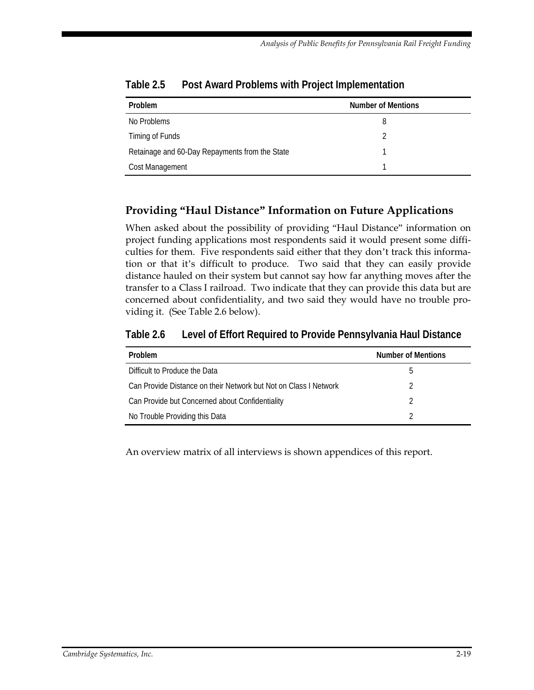| Problem                                        | <b>Number of Mentions</b> |
|------------------------------------------------|---------------------------|
| No Problems                                    | 8                         |
| Timing of Funds                                |                           |
| Retainage and 60-Day Repayments from the State |                           |
| Cost Management                                |                           |

<span id="page-34-0"></span>**Table 2.5 Post Award Problems with Project Implementation**

## **Providing "Haul Distance" Information on Future Applications**

When asked about the possibility of providing "Haul Distance" information on project funding applications most respondents said it would present some difficulties for them. Five respondents said either that they don't track this information or that it's difficult to produce. Two said that they can easily provide distance hauled on their system but cannot say how far anything moves after the transfer to a Class I railroad. Two indicate that they can provide this data but are concerned about confidentiality, and two said they would have no trouble providing it. (See Table 2.6 below).

<span id="page-34-1"></span>**Table 2.6 Level of Effort Required to Provide Pennsylvania Haul Distance**

| Problem                                                          | <b>Number of Mentions</b> |
|------------------------------------------------------------------|---------------------------|
| Difficult to Produce the Data                                    | h                         |
| Can Provide Distance on their Network but Not on Class I Network | 2                         |
| Can Provide but Concerned about Confidentiality                  |                           |
| No Trouble Providing this Data                                   |                           |

An overview matrix of all interviews is shown appendices of this report.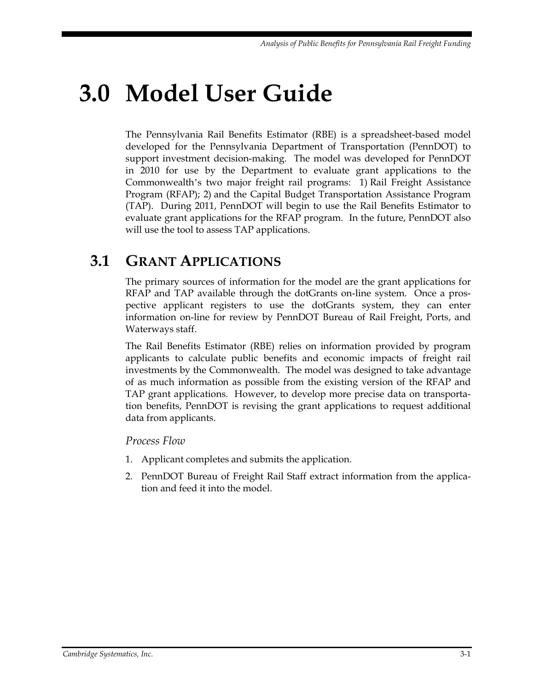# <span id="page-36-0"></span>**3.0 Model User Guide**

The Pennsylvania Rail Benefits Estimator (RBE) is a spreadsheet-based model developed for the Pennsylvania Department of Transportation (PennDOT) to support investment decision-making. The model was developed for PennDOT in 2010 for use by the Department to evaluate grant applications to the Commonwealth's two major freight rail programs: 1) Rail Freight Assistance Program (RFAP); 2) and the Capital Budget Transportation Assistance Program (TAP). During 2011, PennDOT will begin to use the Rail Benefits Estimator to evaluate grant applications for the RFAP program. In the future, PennDOT also will use the tool to assess TAP applications.

## <span id="page-36-1"></span>**3.1 GRANT APPLICATIONS**

The primary sources of information for the model are the grant applications for RFAP and TAP available through the dotGrants on-line system. Once a prospective applicant registers to use the dotGrants system, they can enter information on-line for review by PennDOT Bureau of Rail Freight, Ports, and Waterways staff.

The Rail Benefits Estimator (RBE) relies on information provided by program applicants to calculate public benefits and economic impacts of freight rail investments by the Commonwealth. The model was designed to take advantage of as much information as possible from the existing version of the RFAP and TAP grant applications. However, to develop more precise data on transportation benefits, PennDOT is revising the grant applications to request additional data from applicants.

*Process Flow*

- 1. Applicant completes and submits the application.
- 2. PennDOT Bureau of Freight Rail Staff extract information from the application and feed it into the model.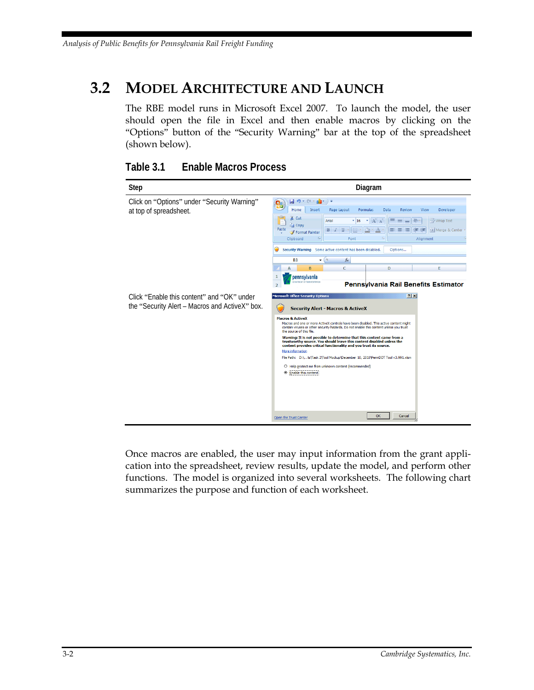## <span id="page-37-0"></span>**3.2 MODEL ARCHITECTURE AND LAUNCH**

The RBE model runs in Microsoft Excel 2007. To launch the model, the user should open the file in Excel and then enable macros by clicking on the "Options" button of the "Security Warning" bar at the top of the spreadsheet (shown below).

<span id="page-37-1"></span>

#### **Table 3.1 Enable Macros Process**

Once macros are enabled, the user may input information from the grant application into the spreadsheet, review results, update the model, and perform other functions. The model is organized into several worksheets. The following chart summarizes the purpose and function of each worksheet.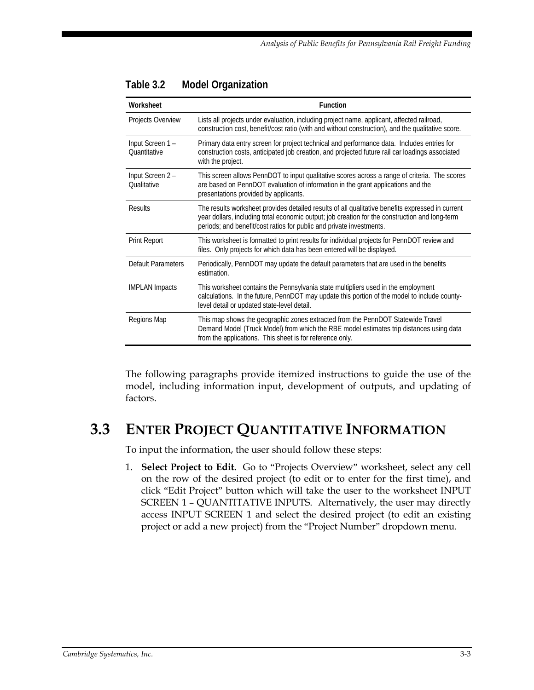| Worksheet                              | <b>Function</b>                                                                                                                                                                                                                                                            |
|----------------------------------------|----------------------------------------------------------------------------------------------------------------------------------------------------------------------------------------------------------------------------------------------------------------------------|
| Projects Overview                      | Lists all projects under evaluation, including project name, applicant, affected railroad,<br>construction cost, benefit/cost ratio (with and without construction), and the qualitative score.                                                                            |
| Input Screen 1-<br><b>Ouantitative</b> | Primary data entry screen for project technical and performance data. Includes entries for<br>construction costs, anticipated job creation, and projected future rail car loadings associated<br>with the project.                                                         |
| Input Screen 2 -<br><b>Oualitative</b> | This screen allows PennDOT to input qualitative scores across a range of criteria. The scores<br>are based on PennDOT evaluation of information in the grant applications and the<br>presentations provided by applicants.                                                 |
| Results                                | The results worksheet provides detailed results of all qualitative benefits expressed in current<br>year dollars, including total economic output; job creation for the construction and long-term<br>periods; and benefit/cost ratios for public and private investments. |
| <b>Print Report</b>                    | This worksheet is formatted to print results for individual projects for PennDOT review and<br>files. Only projects for which data has been entered will be displayed.                                                                                                     |
| Default Parameters                     | Periodically, PennDOT may update the default parameters that are used in the benefits<br>estimation.                                                                                                                                                                       |
| <b>IMPLAN</b> Impacts                  | This worksheet contains the Pennsylvania state multipliers used in the employment<br>calculations. In the future, PennDOT may update this portion of the model to include county-<br>level detail or updated state-level detail.                                           |
| Regions Map                            | This map shows the geographic zones extracted from the PennDOT Statewide Travel<br>Demand Model (Truck Model) from which the RBE model estimates trip distances using data<br>from the applications. This sheet is for reference only.                                     |

<span id="page-38-1"></span>

| Table 3.2 | <b>Model Organization</b> |
|-----------|---------------------------|
|-----------|---------------------------|

The following paragraphs provide itemized instructions to guide the use of the model, including information input, development of outputs, and updating of factors.

## <span id="page-38-0"></span>**3.3 ENTER PROJECT QUANTITATIVE INFORMATION**

To input the information, the user should follow these steps:

1. **Select Project to Edit.** Go to "Projects Overview" worksheet, select any cell on the row of the desired project (to edit or to enter for the first time), and click "Edit Project" button which will take the user to the worksheet INPUT SCREEN 1 – QUANTITATIVE INPUTS. Alternatively, the user may directly access INPUT SCREEN 1 and select the desired project (to edit an existing project or add a new project) from the "Project Number" dropdown menu.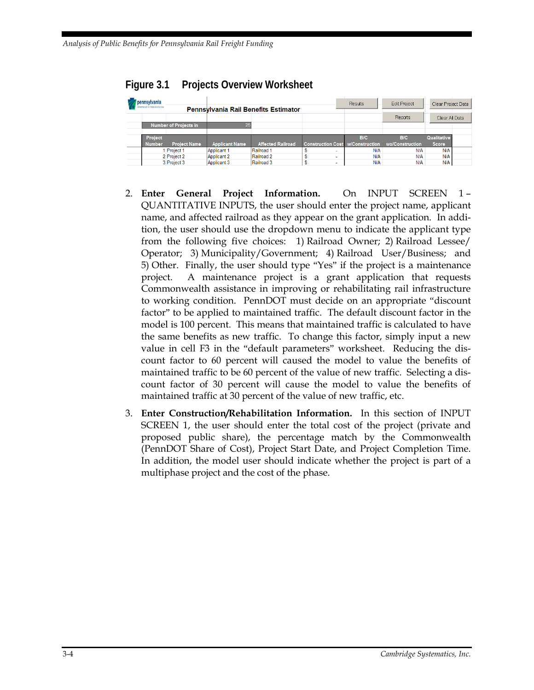| pennsylvania<br>DEPARTMENT OF TRANSPORTATION | <b>Pennsylvania Rail Benefits Estimator</b> |                          |                                         | <b>Results</b> | <b>Edit Project</b> | Clear Project Data |  |
|----------------------------------------------|---------------------------------------------|--------------------------|-----------------------------------------|----------------|---------------------|--------------------|--|
|                                              |                                             |                          |                                         |                | Reports             | Clear All Data     |  |
| <b>Number of Projects in</b>                 |                                             |                          |                                         |                |                     |                    |  |
|                                              |                                             |                          |                                         |                |                     |                    |  |
| Project                                      |                                             |                          |                                         | B/C            | B/C                 | Qualitative        |  |
| <b>Project Name</b><br><b>Number</b>         | <b>Applicant Name</b>                       | <b>Affected Railroad</b> | <b>Construction Cost W/Construction</b> |                | wo/Construction     | <b>Score</b>       |  |
| Project 1                                    | Applicant 1                                 | Railroad 1               | ÷                                       | N/A            | N/A                 | <b>N/A</b>         |  |
| 2 Project 2                                  | <b>Applicant 2</b>                          | Railroad 2               | ۰                                       | N/A            | N/A                 | N/A                |  |
| 3 Project 3                                  | Applicant 3                                 | Railroad 3               | $\sim$                                  | N/A            | N/A                 | N/A                |  |

#### <span id="page-39-0"></span>**Figure 3.1 Projects Overview Worksheet**

- 2. **Enter General Project Information.** On INPUT SCREEN 1 QUANTITATIVE INPUTS, the user should enter the project name, applicant name, and affected railroad as they appear on the grant application. In addition, the user should use the dropdown menu to indicate the applicant type from the following five choices: 1) Railroad Owner; 2) Railroad Lessee/ Operator; 3) Municipality/Government; 4) Railroad User/Business; and 5) Other. Finally, the user should type "Yes" if the project is a maintenance project. A maintenance project is a grant application that requests Commonwealth assistance in improving or rehabilitating rail infrastructure to working condition. PennDOT must decide on an appropriate "discount factor" to be applied to maintained traffic. The default discount factor in the model is 100 percent. This means that maintained traffic is calculated to have the same benefits as new traffic. To change this factor, simply input a new value in cell F3 in the "default parameters" worksheet. Reducing the discount factor to 60 percent will caused the model to value the benefits of maintained traffic to be 60 percent of the value of new traffic. Selecting a discount factor of 30 percent will cause the model to value the benefits of maintained traffic at 30 percent of the value of new traffic, etc.
- 3. **Enter Construction/Rehabilitation Information.** In this section of INPUT SCREEN 1, the user should enter the total cost of the project (private and proposed public share), the percentage match by the Commonwealth (PennDOT Share of Cost), Project Start Date, and Project Completion Time. In addition, the model user should indicate whether the project is part of a multiphase project and the cost of the phase.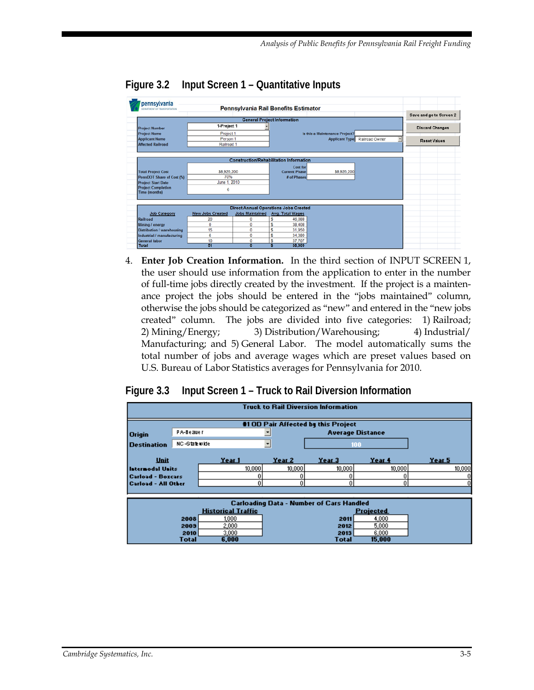| pennsylvania<br><b>GEFARTMENT OF TRANSPORTATION</b> |                         |                        | Pennsylvania Rail Benefits Estimator           |                                |                               |                         |
|-----------------------------------------------------|-------------------------|------------------------|------------------------------------------------|--------------------------------|-------------------------------|-------------------------|
|                                                     |                         |                        |                                                |                                |                               | Save and go to Screen 2 |
|                                                     |                         |                        | <b>General Project Information</b>             |                                |                               |                         |
| <b>Project Number</b>                               | 1-Project 1             |                        |                                                |                                |                               | <b>Discard Changes</b>  |
| <b>Project Name</b>                                 | Project 1               |                        |                                                | Is this a Maintenance Project? |                               |                         |
| <b>Applicant Name</b>                               | Person 1                |                        |                                                |                                | Applicant Type Railroad Owner | Reset Values            |
| <b>Affected Railroad</b>                            | Railroad 1              |                        |                                                |                                |                               |                         |
|                                                     |                         |                        |                                                |                                |                               |                         |
|                                                     |                         |                        |                                                |                                |                               |                         |
|                                                     |                         |                        | <b>Construction/Rehabilitation Information</b> |                                |                               |                         |
|                                                     |                         |                        | <b>Cost for</b>                                |                                |                               |                         |
| <b>Total Project Cost</b>                           | \$8,926,200             |                        | <b>Current Phase</b>                           | \$8,926,200                    |                               |                         |
| PennDOT Share of Cost (%)                           | 70%                     |                        | # of Phases                                    |                                |                               |                         |
| <b>Project Start Date</b>                           | June 1, 2010            |                        |                                                |                                |                               |                         |
| <b>Project Completion</b><br><b>Time (months)</b>   | 6                       |                        |                                                |                                |                               |                         |
|                                                     |                         |                        |                                                |                                |                               |                         |
|                                                     |                         |                        |                                                |                                |                               |                         |
|                                                     |                         |                        | <b>Direct Annual Operations Jobs Created</b>   |                                |                               |                         |
| <b>Job Category</b>                                 | <b>New Jobs Created</b> | <b>Jobs Maintained</b> | <b>Avg. Total Wages</b>                        |                                |                               |                         |
| Railroad                                            | 20                      | 0                      | Ŝ<br>46.088                                    |                                |                               |                         |
| Mining / energy                                     | 0                       | 0                      | Ś<br>38.408                                    |                                |                               |                         |
| <b>Distribution / warehousing</b>                   | 15                      | ٥                      | S<br>31,950                                    |                                |                               |                         |
| Industrial / manufacturing                          | 6                       | 0                      | S<br>34.380                                    |                                |                               |                         |
| <b>General labor</b>                                | 10                      | 0                      | 37.707<br>s                                    |                                |                               |                         |
| <b>Total</b>                                        | 51                      | Ō                      | 38,909                                         |                                |                               |                         |

#### <span id="page-40-0"></span>**Figure 3.2 Input Screen 1 – Quantitative Inputs**

4. **Enter Job Creation Information.** In the third section of INPUT SCREEN 1, the user should use information from the application to enter in the number of full-time jobs directly created by the investment. If the project is a maintenance project the jobs should be entered in the "jobs maintained" column, otherwise the jobs should be categorized as "new" and entered in the "new jobs created" column. The jobs are divided into five categories: 1) Railroad; 2) Mining/Energy; 3) Distribution/Warehousing; 4) Industrial/ Manufacturing; and 5) General Labor. The model automatically sums the total number of jobs and average wages which are preset values based on U.S. Bureau of Labor Statistics averages for Pennsylvania for 2010.

#### <span id="page-40-1"></span>**Figure 3.3 Input Screen 1 – Truck to Rail Diversion Information**

| <b>Truck to Rail Diversion Information</b> |                                     |                           |                   |                                                 |                         |        |  |  |  |  |
|--------------------------------------------|-------------------------------------|---------------------------|-------------------|-------------------------------------------------|-------------------------|--------|--|--|--|--|
|                                            | #1 OD Pair Affected by this Project |                           |                   |                                                 |                         |        |  |  |  |  |
| <b>Origin</b>                              | PA-Beauer                           |                           |                   |                                                 | <b>Average Distance</b> |        |  |  |  |  |
| <b>Destination</b>                         | NC-Statewide                        |                           |                   |                                                 | 100                     |        |  |  |  |  |
| Unit                                       |                                     | Year 1                    | Year <sub>2</sub> | Year 3                                          | Year 4                  | Year 5 |  |  |  |  |
| Internodal Units                           |                                     | 10,000                    | 10,000            | 10,000                                          | 10,000                  | 10,000 |  |  |  |  |
| <b>Carload - Boxcars</b>                   |                                     |                           |                   |                                                 |                         | 0      |  |  |  |  |
| <b>Carload - All Other</b>                 |                                     | 0                         | 0                 | Û                                               | 0                       | 0      |  |  |  |  |
|                                            |                                     |                           |                   |                                                 |                         |        |  |  |  |  |
|                                            |                                     |                           |                   | <b>Carloading Data - Number of Cars Handled</b> |                         |        |  |  |  |  |
|                                            |                                     | <b>Historical Traffic</b> |                   |                                                 | <b>Projected</b>        |        |  |  |  |  |
|                                            | 2008                                | 1,000                     |                   | 2011                                            | 4,000                   |        |  |  |  |  |
|                                            | 2009                                | 2,000                     |                   | 2012                                            | 5,000                   |        |  |  |  |  |
|                                            | 2010                                | 3,000                     |                   | 2013                                            | 6,000                   |        |  |  |  |  |
|                                            | Total                               | 6.000                     |                   | Total                                           | 15,000                  |        |  |  |  |  |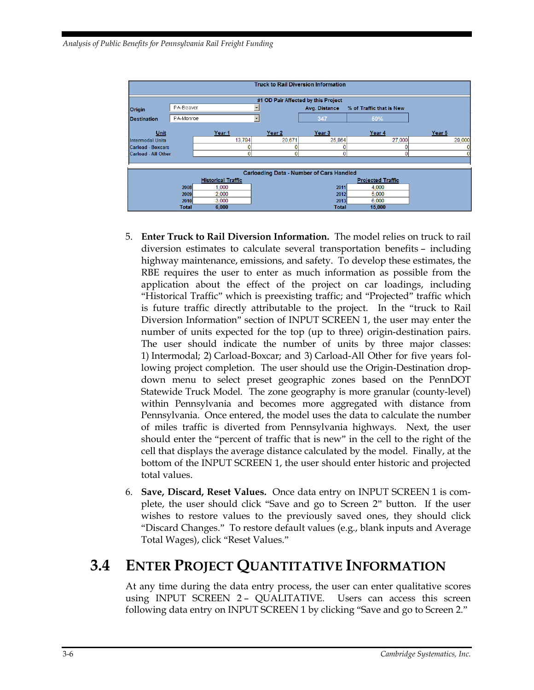*Analysis of Public Benefits for Pennsylvania Rail Freight Funding*

|                                     | <b>Truck to Rail Diversion Information</b> |                           |              |                                                 |                          |        |  |  |  |  |
|-------------------------------------|--------------------------------------------|---------------------------|--------------|-------------------------------------------------|--------------------------|--------|--|--|--|--|
| #1 OD Pair Affected by this Project |                                            |                           |              |                                                 |                          |        |  |  |  |  |
| Origin                              | PA-Beaver                                  |                           | $\mathbf{r}$ | Avg. Distance                                   | % of Traffic that is New |        |  |  |  |  |
| Destination                         | PA-Monroe                                  |                           | ۰            | 347                                             | 50%                      |        |  |  |  |  |
| <b>Unit</b>                         |                                            | Year <sub>1</sub>         | Year 2       | Year <sub>3</sub>                               | Year 4                   | Year 5 |  |  |  |  |
| Intermodal Units                    |                                            | 13.794                    | 20.671       | 25.864                                          | 27,000                   | 29,000 |  |  |  |  |
| Carload - Boxcars                   |                                            |                           |              |                                                 |                          |        |  |  |  |  |
| Carload - All Other                 |                                            |                           |              | $\Omega$                                        | 0                        |        |  |  |  |  |
|                                     |                                            |                           |              |                                                 |                          |        |  |  |  |  |
|                                     |                                            |                           |              | <b>Carloading Data - Number of Cars Handled</b> |                          |        |  |  |  |  |
|                                     |                                            | <b>Historical Traffic</b> |              |                                                 | <b>Projected Traffic</b> |        |  |  |  |  |
|                                     | 2008                                       | 1.000                     |              | 2011                                            | 4.000                    |        |  |  |  |  |
|                                     | 2009                                       | 2.000                     |              | 2012                                            | 5.000                    |        |  |  |  |  |
|                                     | 2010                                       | 3.000                     |              | 2013                                            | 6.000                    |        |  |  |  |  |
|                                     | <b>Total</b>                               | 6.000                     |              | Total                                           | 15,000                   |        |  |  |  |  |

- 5. **Enter Truck to Rail Diversion Information.** The model relies on truck to rail diversion estimates to calculate several transportation benefits – including highway maintenance, emissions, and safety. To develop these estimates, the RBE requires the user to enter as much information as possible from the application about the effect of the project on car loadings, including "Historical Traffic" which is preexisting traffic; and "Projected" traffic which is future traffic directly attributable to the project. In the "truck to Rail Diversion Information" section of INPUT SCREEN 1, the user may enter the number of units expected for the top (up to three) origin-destination pairs. The user should indicate the number of units by three major classes: 1) Intermodal; 2) Carload-Boxcar; and 3) Carload-All Other for five years following project completion. The user should use the Origin-Destination dropdown menu to select preset geographic zones based on the PennDOT Statewide Truck Model. The zone geography is more granular (county-level) within Pennsylvania and becomes more aggregated with distance from Pennsylvania. Once entered, the model uses the data to calculate the number of miles traffic is diverted from Pennsylvania highways. Next, the user should enter the "percent of traffic that is new" in the cell to the right of the cell that displays the average distance calculated by the model. Finally, at the bottom of the INPUT SCREEN 1, the user should enter historic and projected total values.
- 6. **Save, Discard, Reset Values.** Once data entry on INPUT SCREEN 1 is complete, the user should click "Save and go to Screen 2" button. If the user wishes to restore values to the previously saved ones, they should click "Discard Changes." To restore default values (e.g., blank inputs and Average Total Wages), click "Reset Values."

## <span id="page-41-0"></span>**3.4 ENTER PROJECT QUANTITATIVE INFORMATION**

At any time during the data entry process, the user can enter qualitative scores using INPUT SCREEN 2 - QUALITATIVE. Users can access this screen following data entry on INPUT SCREEN 1 by clicking "Save and go to Screen 2."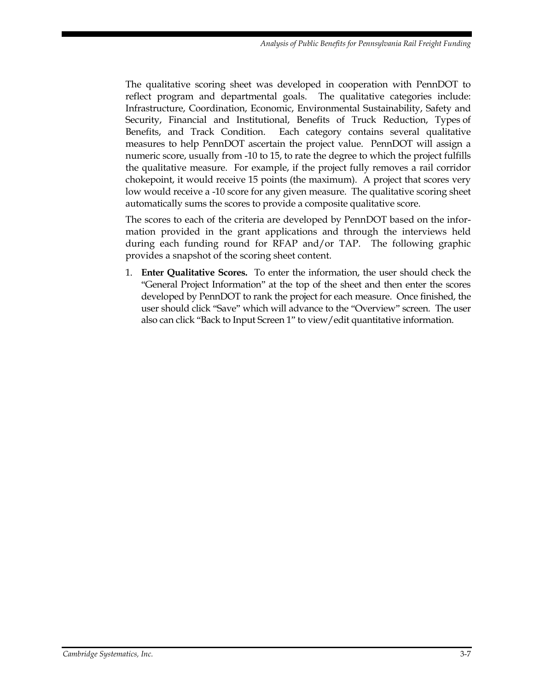The qualitative scoring sheet was developed in cooperation with PennDOT to reflect program and departmental goals. The qualitative categories include: Infrastructure, Coordination, Economic, Environmental Sustainability, Safety and Security, Financial and Institutional, Benefits of Truck Reduction, Types of Benefits, and Track Condition. Each category contains several qualitative measures to help PennDOT ascertain the project value. PennDOT will assign a numeric score, usually from -10 to 15, to rate the degree to which the project fulfills the qualitative measure. For example, if the project fully removes a rail corridor chokepoint, it would receive 15 points (the maximum). A project that scores very low would receive a -10 score for any given measure. The qualitative scoring sheet automatically sums the scores to provide a composite qualitative score.

The scores to each of the criteria are developed by PennDOT based on the information provided in the grant applications and through the interviews held during each funding round for RFAP and/or TAP. The following graphic provides a snapshot of the scoring sheet content.

1. **Enter Qualitative Scores.** To enter the information, the user should check the "General Project Information" at the top of the sheet and then enter the scores developed by PennDOT to rank the project for each measure. Once finished, the user should click "Save" which will advance to the "Overview" screen. The user also can click "Back to Input Screen 1" to view/edit quantitative information.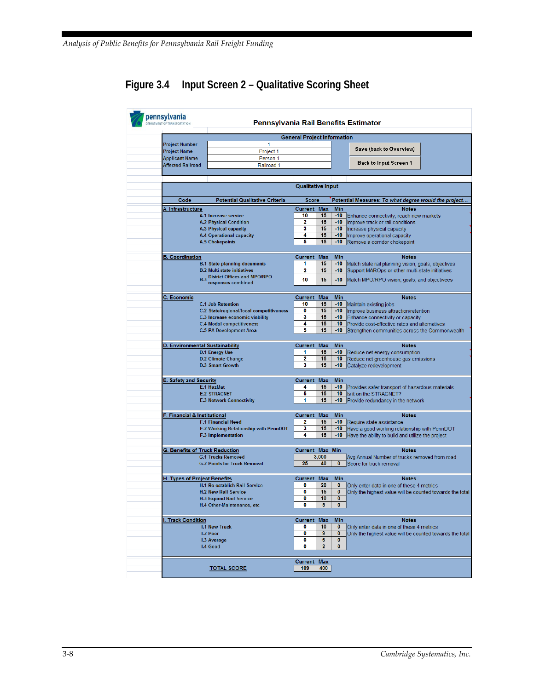## <span id="page-43-0"></span>**Figure 3.4 Input Screen 2 – Qualitative Scoring Sheet**

|                                              | 1                                        | <b>General Project Information</b> |                  |                     |                                                          |
|----------------------------------------------|------------------------------------------|------------------------------------|------------------|---------------------|----------------------------------------------------------|
| <b>Project Number</b><br><b>Project Name</b> | Project 1                                |                                    |                  |                     | Save (back to Overview)                                  |
| <b>Applicant Name</b>                        | Person 1                                 |                                    |                  |                     |                                                          |
| <b>Affected Railroad</b>                     | Railroad 1                               |                                    |                  |                     | Back to Input Screen 1                                   |
|                                              |                                          |                                    |                  |                     |                                                          |
|                                              |                                          |                                    |                  |                     |                                                          |
|                                              |                                          | <b>Qualitative Input</b>           |                  |                     |                                                          |
| Code                                         | <b>Potential Qualitative Criteria</b>    | <b>Score</b>                       |                  |                     | Potential Measures: To what degree would the project     |
| <b>A. Infrastructure</b>                     |                                          | <b>Current</b>                     | <b>Max</b>       | <b>Min</b>          | <b>Notes</b>                                             |
|                                              | A.1 Increase service                     | 10                                 | 15               | $-10$               | Enhance connectivity, reach new markets                  |
|                                              | <b>A.2 Physical Condition</b>            | 2                                  | 15               | $-10$               | Improve track or rail conditions                         |
|                                              | A.3 Physical capacity                    | 3                                  | 15               | $-10$               | Increase physical capacity                               |
|                                              | <b>A.4 Operational capacity</b>          | 4                                  | 15               | $-10$               | Improve operational capacity                             |
|                                              | <b>A.5 Chokepoints</b>                   | 5                                  | 15               | $-10$               | Remove a corridor chokepoint                             |
| <b>B. Coordination</b>                       |                                          | <b>Current</b>                     | <b>Max</b>       | Min                 | <b>Notes</b>                                             |
|                                              | <b>B.1 State planning documents</b>      | 1                                  | 15               | $-10$               | Match state rail planning vision, goals, objectives      |
|                                              | <b>B.2 Multi-state initiatives</b>       | 2                                  | 15               | $-10$               | Support MAROps or other multi-state initiatives          |
|                                              | <b>B.3 District Offices and MPO/RPO</b>  |                                    |                  |                     |                                                          |
|                                              | responses combined                       | 10                                 | 15               | -10                 | Match MPO/RPO vision, goals, and objectivees             |
| C. Economic                                  |                                          | <b>Current</b>                     | <b>Max</b>       | Min                 | <b>Notes</b>                                             |
|                                              | <b>C.1 Job Retention</b>                 | 10                                 | 15               | $-10$               | Maintain existing jobs                                   |
|                                              | C.2 State/regional/local competitiveness | 0                                  | 15               | -10                 | Improve business attraction/retention                    |
|                                              | C.3 Increase economic viability          | 3                                  | 15               | $-10$               | Enhance connectivity or capacity                         |
|                                              | <b>C.4 Modal competitiveness</b>         | 4                                  | 15               | $-10$               | Provide cost-effective rates and alternatives            |
|                                              | <b>C.5 PA Development Area</b>           | 5                                  | 15               | -10                 | Strengthen communities across the Commonwealth           |
|                                              |                                          |                                    |                  |                     |                                                          |
| D. Environmental Sustainability              |                                          | Current                            | <b>Max</b>       | <b>Min</b>          | <b>Notes</b>                                             |
|                                              | <b>D.1 Energy Use</b>                    | 1                                  | 15               | $-10$               | Reduce net energy consumption                            |
|                                              | <b>D.2 Climate Change</b>                | 2                                  | 15               | -10                 | Reduce net greenhouse gas emissions                      |
|                                              | <b>D.3 Smart Growth</b>                  | 3                                  | 15               | -10                 | Catalyze redevelopment                                   |
| <b>E. Safety and Security</b>                |                                          | <b>Current</b>                     | <b>Max</b>       | <b>Min</b>          |                                                          |
|                                              | E.1 HazMat                               | 4                                  | 15               | $-10$               | Provides safer transport of hazardous materials          |
|                                              | <b>E.2 STRACNET</b>                      | 5                                  | 15               | $-10$               | Is it on the STRACNET?                                   |
|                                              | <b>E.3 Network Connectivity</b>          | 1                                  | 15               | -10                 | Provide redundancy in the network                        |
|                                              |                                          |                                    |                  |                     |                                                          |
| F. Financial & Institutional                 | <b>F.1 Financial Need</b>                | <b>Current</b><br>2                | <b>Max</b><br>15 | <b>Min</b><br>$-10$ | <b>Notes</b><br>Require state assistance                 |
|                                              | F.2 Working Relationship with PennDOT    | 3                                  | 15               | -10                 | Have a good working relationship with PennDOT            |
|                                              | <b>F.3 Implementation</b>                | 4                                  | 15               | -10                 | Have the ability to build and utilize the project        |
|                                              |                                          |                                    |                  |                     |                                                          |
| G. Benefits of Truck Reduction               |                                          | <b>Current Max Min</b>             |                  |                     | <b>Notes</b>                                             |
|                                              | <b>G.1 Trucks Removed</b>                |                                    | 3,000            |                     | Avg Annual Number of trucks removed from road            |
|                                              |                                          |                                    |                  | $\bf{0}$            |                                                          |
|                                              | <b>G.2 Points for Truck Removal</b>      | 25                                 | 40               |                     | Score for truck removal                                  |
|                                              |                                          |                                    |                  |                     | <b>Notes</b>                                             |
| <b>H. Types of Project Benefits</b>          |                                          | Current                            | <b>Max</b>       | Min                 |                                                          |
|                                              | <b>H.1 Re-establish Rail Service</b>     | 0                                  | 20               | $\bf{0}$            | Only enter data in one of these 4 metrics                |
|                                              | <b>H.2 New Rail Service</b>              | 0                                  | 15               | 0                   |                                                          |
|                                              | <b>H.3 Expand Rail Service</b>           | 0                                  | 10               | $\pmb{0}$           | Only the highest value will be counted towards the total |
|                                              | H.4 Other-Maintenance, etc               | 0                                  | 5                | 0                   |                                                          |
| . Track Condition                            |                                          | Current                            | <b>Max</b>       | <b>Min</b>          | <b>Notes</b>                                             |
|                                              | <b>I.1 New Track</b>                     | 0                                  | 10               | $\bf{0}$            | Only enter data in one of these 4 metrics                |
|                                              | <b>I.2 Poor</b>                          | 0                                  | 9                | $\bf{0}$            |                                                          |
|                                              | <b>I.3 Average</b>                       | 0                                  | 6                | $\bf{0}$            |                                                          |
|                                              | I.4 Good                                 | 0                                  | $\overline{2}$   | $\bf{0}$            |                                                          |
|                                              |                                          | Current                            | <b>Max</b>       |                     | Only the highest value will be counted towards the total |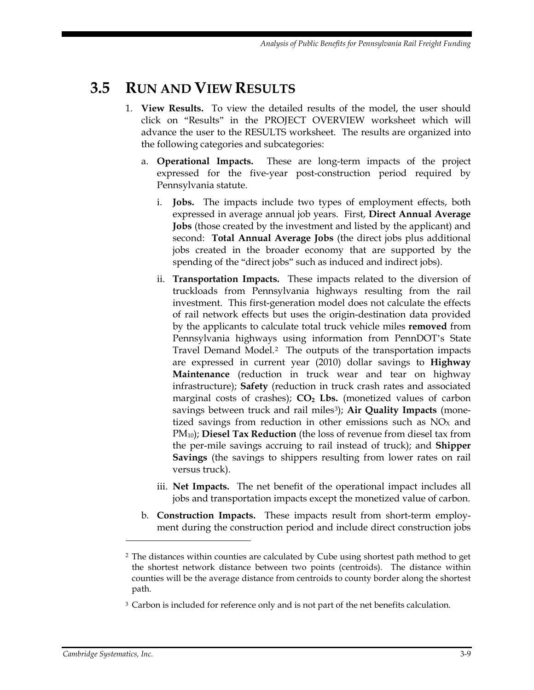## <span id="page-44-0"></span>**3.5 RUN AND VIEW RESULTS**

- 1. **View Results.** To view the detailed results of the model, the user should click on "Results" in the PROJECT OVERVIEW worksheet which will advance the user to the RESULTS worksheet. The results are organized into the following categories and subcategories:
	- a. **Operational Impacts.** These are long-term impacts of the project expressed for the five-year post-construction period required by Pennsylvania statute.
		- i. **Jobs.** The impacts include two types of employment effects, both expressed in average annual job years. First, **Direct Annual Average Jobs** (those created by the investment and listed by the applicant) and second: **Total Annual Average Jobs** (the direct jobs plus additional jobs created in the broader economy that are supported by the spending of the "direct jobs" such as induced and indirect jobs).
		- ii. **Transportation Impacts.** These impacts related to the diversion of truckloads from Pennsylvania highways resulting from the rail investment. This first-generation model does not calculate the effects of rail network effects but uses the origin-destination data provided by the applicants to calculate total truck vehicle miles **removed** from Pennsylvania highways using information from PennDOT's State Travel Demand Model[.2](#page-44-1) The outputs of the transportation impacts are expressed in current year (2010) dollar savings to **Highway Maintenance** (reduction in truck wear and tear on highway infrastructure); **Safety** (reduction in truck crash rates and associated marginal costs of crashes);  $CO<sub>2</sub>$  **Lbs.** (monetized values of carbon savings between truck and rail miles<sup>[3](#page-44-2)</sup>); Air Quality Impacts (monetized savings from reduction in other emissions such as  $NO<sub>x</sub>$  and PM10); **Diesel Tax Reduction** (the loss of revenue from diesel tax from the per-mile savings accruing to rail instead of truck); and **Shipper Savings** (the savings to shippers resulting from lower rates on rail versus truck).
		- iii. **Net Impacts.** The net benefit of the operational impact includes all jobs and transportation impacts except the monetized value of carbon.
	- b. **Construction Impacts.** These impacts result from short-term employment during the construction period and include direct construction jobs

 $\overline{a}$ 

<span id="page-44-1"></span><sup>2</sup> The distances within counties are calculated by Cube using shortest path method to get the shortest network distance between two points (centroids). The distance within counties will be the average distance from centroids to county border along the shortest path.

<span id="page-44-2"></span><sup>&</sup>lt;sup>3</sup> Carbon is included for reference only and is not part of the net benefits calculation.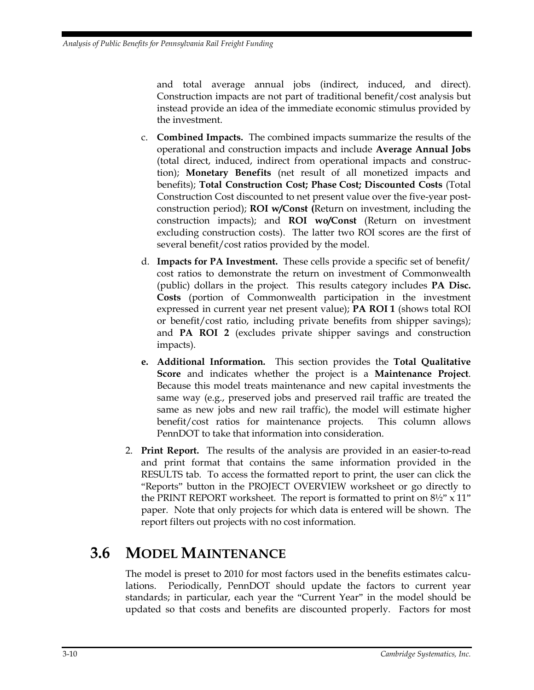and total average annual jobs (indirect, induced, and direct). Construction impacts are not part of traditional benefit/cost analysis but instead provide an idea of the immediate economic stimulus provided by the investment.

- c. **Combined Impacts.** The combined impacts summarize the results of the operational and construction impacts and include **Average Annual Jobs**  (total direct, induced, indirect from operational impacts and construction); **Monetary Benefits** (net result of all monetized impacts and benefits); **Total Construction Cost; Phase Cost; Discounted Costs** (Total Construction Cost discounted to net present value over the five-year postconstruction period); **ROI w/Const (**Return on investment, including the construction impacts); and **ROI wo/Const** (Return on investment excluding construction costs). The latter two ROI scores are the first of several benefit/cost ratios provided by the model.
- d. **Impacts for PA Investment.** These cells provide a specific set of benefit/ cost ratios to demonstrate the return on investment of Commonwealth (public) dollars in the project. This results category includes **PA Disc. Costs** (portion of Commonwealth participation in the investment expressed in current year net present value); **PA ROI 1** (shows total ROI or benefit/cost ratio, including private benefits from shipper savings); and **PA ROI 2** (excludes private shipper savings and construction impacts).
- **e. Additional Information.** This section provides the **Total Qualitative Score** and indicates whether the project is a **Maintenance Project**. Because this model treats maintenance and new capital investments the same way (e.g., preserved jobs and preserved rail traffic are treated the same as new jobs and new rail traffic), the model will estimate higher benefit/cost ratios for maintenance projects. This column allows PennDOT to take that information into consideration.
- 2. **Print Report.** The results of the analysis are provided in an easier-to-read and print format that contains the same information provided in the RESULTS tab. To access the formatted report to print, the user can click the "Reports" button in the PROJECT OVERVIEW worksheet or go directly to the PRINT REPORT worksheet. The report is formatted to print on 8½" x 11" paper. Note that only projects for which data is entered will be shown. The report filters out projects with no cost information.

# <span id="page-45-0"></span>**3.6 MODEL MAINTENANCE**

The model is preset to 2010 for most factors used in the benefits estimates calculations. Periodically, PennDOT should update the factors to current year standards; in particular, each year the "Current Year" in the model should be updated so that costs and benefits are discounted properly. Factors for most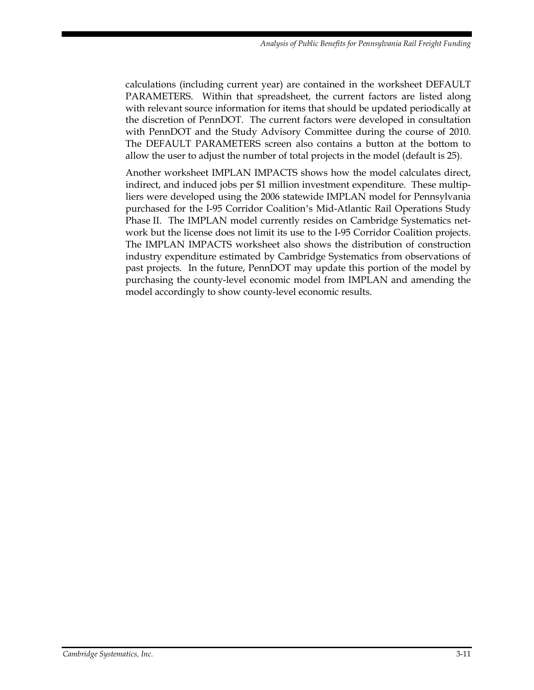calculations (including current year) are contained in the worksheet DEFAULT PARAMETERS. Within that spreadsheet, the current factors are listed along with relevant source information for items that should be updated periodically at the discretion of PennDOT. The current factors were developed in consultation with PennDOT and the Study Advisory Committee during the course of 2010. The DEFAULT PARAMETERS screen also contains a button at the bottom to allow the user to adjust the number of total projects in the model (default is 25).

Another worksheet IMPLAN IMPACTS shows how the model calculates direct, indirect, and induced jobs per \$1 million investment expenditure. These multipliers were developed using the 2006 statewide IMPLAN model for Pennsylvania purchased for the I-95 Corridor Coalition's Mid-Atlantic Rail Operations Study Phase II. The IMPLAN model currently resides on Cambridge Systematics network but the license does not limit its use to the I-95 Corridor Coalition projects. The IMPLAN IMPACTS worksheet also shows the distribution of construction industry expenditure estimated by Cambridge Systematics from observations of past projects. In the future, PennDOT may update this portion of the model by purchasing the county-level economic model from IMPLAN and amending the model accordingly to show county-level economic results.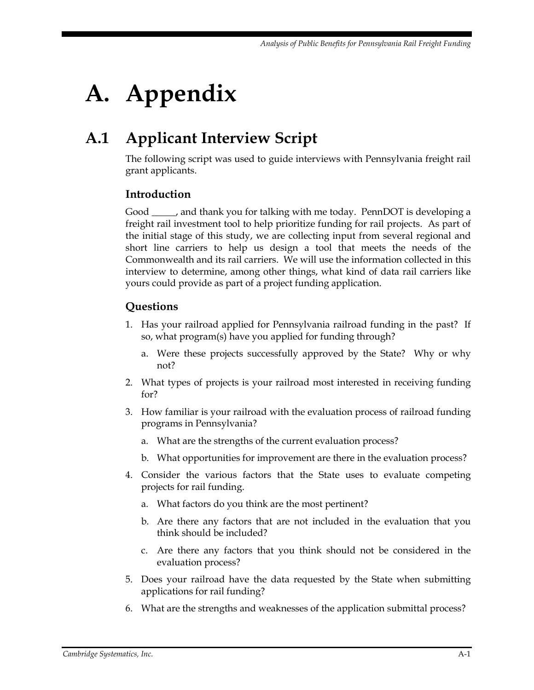# <span id="page-48-0"></span>**A. Appendix**

# <span id="page-48-1"></span>**A.1 Applicant Interview Script**

The following script was used to guide interviews with Pennsylvania freight rail grant applicants.

### **Introduction**

Good \_\_\_\_\_, and thank you for talking with me today. PennDOT is developing a freight rail investment tool to help prioritize funding for rail projects. As part of the initial stage of this study, we are collecting input from several regional and short line carriers to help us design a tool that meets the needs of the Commonwealth and its rail carriers. We will use the information collected in this interview to determine, among other things, what kind of data rail carriers like yours could provide as part of a project funding application.

### **Questions**

- 1. Has your railroad applied for Pennsylvania railroad funding in the past? If so, what program(s) have you applied for funding through?
	- a. Were these projects successfully approved by the State? Why or why not?
- 2. What types of projects is your railroad most interested in receiving funding for?
- 3. How familiar is your railroad with the evaluation process of railroad funding programs in Pennsylvania?
	- a. What are the strengths of the current evaluation process?
	- b. What opportunities for improvement are there in the evaluation process?
- 4. Consider the various factors that the State uses to evaluate competing projects for rail funding.
	- a. What factors do you think are the most pertinent?
	- b. Are there any factors that are not included in the evaluation that you think should be included?
	- c. Are there any factors that you think should not be considered in the evaluation process?
- 5. Does your railroad have the data requested by the State when submitting applications for rail funding?
- 6. What are the strengths and weaknesses of the application submittal process?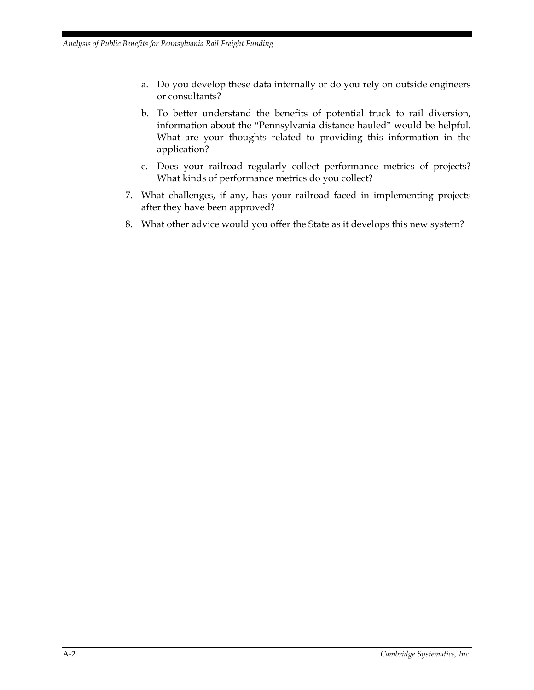- a. Do you develop these data internally or do you rely on outside engineers or consultants?
- b. To better understand the benefits of potential truck to rail diversion, information about the "Pennsylvania distance hauled" would be helpful. What are your thoughts related to providing this information in the application?
- c. Does your railroad regularly collect performance metrics of projects? What kinds of performance metrics do you collect?
- 7. What challenges, if any, has your railroad faced in implementing projects after they have been approved?
- 8. What other advice would you offer the State as it develops this new system?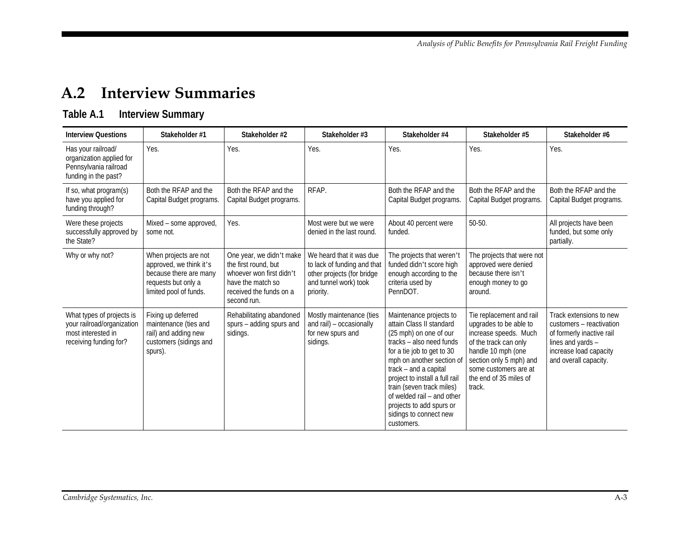## **A.2 Interview Summaries**

## **Table A.1 Interview Summary**

<span id="page-50-1"></span><span id="page-50-0"></span>

| <b>Interview Questions</b>                                                                              | Stakeholder #1                                                                                                              | Stakeholder #2                                                                                                                              | Stakeholder #3                                                                                                              | Stakeholder #4                                                                                                                                                                                                                                                                                                                                                 | Stakeholder #5                                                                                                                                                                                                     | Stakeholder #6                                                                                                                                           |
|---------------------------------------------------------------------------------------------------------|-----------------------------------------------------------------------------------------------------------------------------|---------------------------------------------------------------------------------------------------------------------------------------------|-----------------------------------------------------------------------------------------------------------------------------|----------------------------------------------------------------------------------------------------------------------------------------------------------------------------------------------------------------------------------------------------------------------------------------------------------------------------------------------------------------|--------------------------------------------------------------------------------------------------------------------------------------------------------------------------------------------------------------------|----------------------------------------------------------------------------------------------------------------------------------------------------------|
| Has your railroad/<br>organization applied for<br>Pennsylvania railroad<br>funding in the past?         | Yes.                                                                                                                        | Yes.                                                                                                                                        | Yes.                                                                                                                        | Yes.                                                                                                                                                                                                                                                                                                                                                           | Yes.                                                                                                                                                                                                               | Yes.                                                                                                                                                     |
| If so, what program(s)<br>have you applied for<br>funding through?                                      | Both the RFAP and the<br>Capital Budget programs.                                                                           | Both the RFAP and the<br>Capital Budget programs.                                                                                           | RFAP.                                                                                                                       | Both the RFAP and the<br>Capital Budget programs.                                                                                                                                                                                                                                                                                                              | Both the RFAP and the<br>Capital Budget programs.                                                                                                                                                                  | Both the RFAP and the<br>Capital Budget programs.                                                                                                        |
| Were these projects<br>successfully approved by<br>the State?                                           | Mixed - some approved,<br>some not.                                                                                         | Yes.                                                                                                                                        | Most were but we were<br>denied in the last round.                                                                          | About 40 percent were<br>funded.                                                                                                                                                                                                                                                                                                                               | $50 - 50$ .                                                                                                                                                                                                        | All projects have been<br>funded, but some only<br>partially.                                                                                            |
| Why or why not?                                                                                         | When projects are not<br>approved, we think it's<br>because there are many<br>requests but only a<br>limited pool of funds. | One year, we didn't make<br>the first round, but<br>whoever won first didn't<br>have the match so<br>received the funds on a<br>second run. | We heard that it was due<br>to lack of funding and that<br>other projects (for bridge<br>and tunnel work) took<br>priority. | The projects that weren't<br>funded didn't score high<br>enough according to the<br>criteria used by<br>PennDOT.                                                                                                                                                                                                                                               | The projects that were not<br>approved were denied<br>because there isn't<br>enough money to go<br>around.                                                                                                         |                                                                                                                                                          |
| What types of projects is<br>your railroad/organization<br>most interested in<br>receiving funding for? | Fixing up deferred<br>maintenance (ties and<br>rail) and adding new<br>customers (sidings and<br>spurs).                    | Rehabilitating abandoned<br>spurs - adding spurs and<br>sidings.                                                                            | Mostly maintenance (ties<br>and rail) - occasionally<br>for new spurs and<br>sidings.                                       | Maintenance projects to<br>attain Class II standard<br>(25 mph) on one of our<br>tracks – also need funds<br>for a tie job to get to 30<br>mph on another section of<br>track – and a capital<br>project to install a full rail<br>train (seven track miles)<br>of welded rail - and other<br>projects to add spurs or<br>sidings to connect new<br>customers. | Tie replacement and rail<br>upgrades to be able to<br>increase speeds. Much<br>of the track can only<br>handle 10 mph (one<br>section only 5 mph) and<br>some customers are at<br>the end of 35 miles of<br>track. | Track extensions to new<br>customers - reactivation<br>of formerly inactive rail<br>lines and yards -<br>increase load capacity<br>and overall capacity. |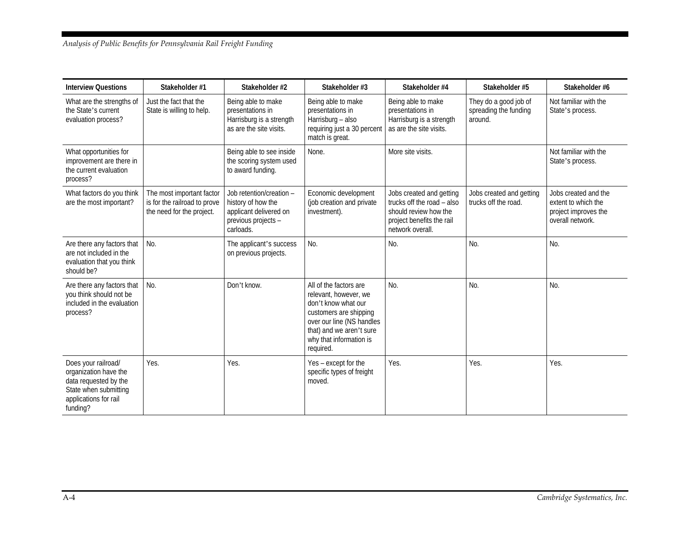#### *Analysis of Public Benefits for Pennsylvania Rail Freight Funding*

| <b>Interview Questions</b>                                                                                                          | Stakeholder #1                                                                         | Stakeholder #2                                                                                               | Stakeholder #3                                                                                                                                                                                    | Stakeholder #4                                                                                                                   | Stakeholder #5                                            | Stakeholder #6                                                                          |
|-------------------------------------------------------------------------------------------------------------------------------------|----------------------------------------------------------------------------------------|--------------------------------------------------------------------------------------------------------------|---------------------------------------------------------------------------------------------------------------------------------------------------------------------------------------------------|----------------------------------------------------------------------------------------------------------------------------------|-----------------------------------------------------------|-----------------------------------------------------------------------------------------|
| What are the strengths of<br>the State's current<br>evaluation process?                                                             | Just the fact that the<br>State is willing to help.                                    | Being able to make<br>presentations in<br>Harrisburg is a strength<br>as are the site visits.                | Being able to make<br>presentations in<br>Harrisburg - also<br>requiring just a 30 percent<br>match is great.                                                                                     | Being able to make<br>presentations in<br>Harrisburg is a strength<br>as are the site visits.                                    | They do a good job of<br>spreading the funding<br>around. | Not familiar with the<br>State's process.                                               |
| What opportunities for<br>improvement are there in<br>the current evaluation<br>process?                                            |                                                                                        | Being able to see inside<br>the scoring system used<br>to award funding.                                     | None.                                                                                                                                                                                             | More site visits.                                                                                                                |                                                           | Not familiar with the<br>State's process.                                               |
| What factors do you think<br>are the most important?                                                                                | The most important factor<br>is for the railroad to prove<br>the need for the project. | Job retention/creation -<br>history of how the<br>applicant delivered on<br>previous projects -<br>carloads. | Economic development<br>(job creation and private<br>investment).                                                                                                                                 | Jobs created and getting<br>trucks off the road – also<br>should review how the<br>project benefits the rail<br>network overall. | Jobs created and getting<br>trucks off the road.          | Jobs created and the<br>extent to which the<br>project improves the<br>overall network. |
| Are there any factors that<br>are not included in the<br>evaluation that you think<br>should be?                                    | No.                                                                                    | The applicant's success<br>on previous projects.                                                             | No.                                                                                                                                                                                               | No.                                                                                                                              | No.                                                       | No.                                                                                     |
| Are there any factors that<br>you think should not be<br>included in the evaluation<br>process?                                     | No.                                                                                    | Don't know.                                                                                                  | All of the factors are<br>relevant, however, we<br>don't know what our<br>customers are shipping<br>over our line (NS handles<br>that) and we aren't sure<br>why that information is<br>required. | No.                                                                                                                              | No.                                                       | No.                                                                                     |
| Does your railroad/<br>organization have the<br>data requested by the<br>State when submitting<br>applications for rail<br>funding? | Yes.                                                                                   | Yes.                                                                                                         | Yes - except for the<br>specific types of freight<br>moved.                                                                                                                                       | Yes.                                                                                                                             | Yes.                                                      | Yes.                                                                                    |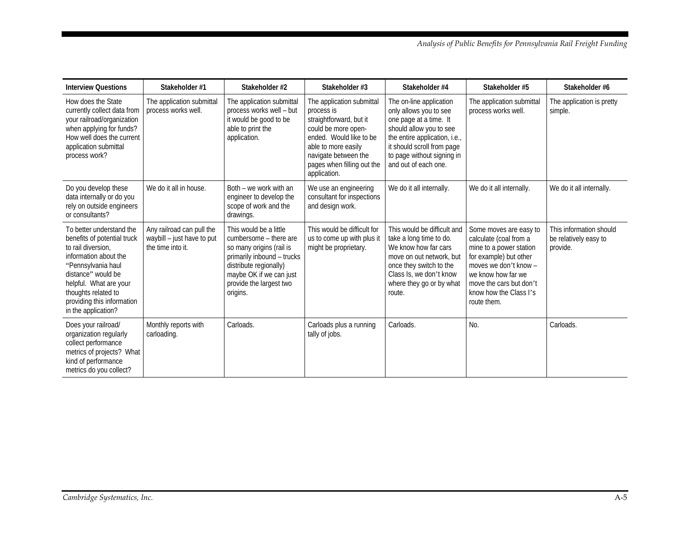| <b>Interview Questions</b>                                                                                                                                                                                                                               | Stakeholder #1                                                               | Stakeholder #2                                                                                                                                                                                         | Stakeholder #3                                                                                                                                                                                                    | Stakeholder #4                                                                                                                                                                                                              | Stakeholder #5                                                                                                                                                                                                           | Stakeholder #6                                               |
|----------------------------------------------------------------------------------------------------------------------------------------------------------------------------------------------------------------------------------------------------------|------------------------------------------------------------------------------|--------------------------------------------------------------------------------------------------------------------------------------------------------------------------------------------------------|-------------------------------------------------------------------------------------------------------------------------------------------------------------------------------------------------------------------|-----------------------------------------------------------------------------------------------------------------------------------------------------------------------------------------------------------------------------|--------------------------------------------------------------------------------------------------------------------------------------------------------------------------------------------------------------------------|--------------------------------------------------------------|
| How does the State<br>currently collect data from<br>your railroad/organization<br>when applying for funds?<br>How well does the current<br>application submittal<br>process work?                                                                       | The application submittal<br>process works well.                             | The application submittal<br>process works well - but<br>it would be good to be<br>able to print the<br>application.                                                                                   | The application submittal<br>process is<br>straightforward, but it<br>could be more open-<br>ended. Would like to be<br>able to more easily<br>navigate between the<br>pages when filling out the<br>application. | The on-line application<br>only allows you to see<br>one page at a time. It<br>should allow you to see<br>the entire application, i.e.,<br>it should scroll from page<br>to page without signing in<br>and out of each one. | The application submittal<br>process works well.                                                                                                                                                                         | The application is pretty<br>simple.                         |
| Do you develop these<br>data internally or do you<br>rely on outside engineers<br>or consultants?                                                                                                                                                        | We do it all in house.                                                       | Both – we work with an<br>engineer to develop the<br>scope of work and the<br>drawings.                                                                                                                | We use an engineering<br>consultant for inspections<br>and design work.                                                                                                                                           | We do it all internally.                                                                                                                                                                                                    | We do it all internally.                                                                                                                                                                                                 | We do it all internally.                                     |
| To better understand the<br>benefits of potential truck<br>to rail diversion.<br>information about the<br>"Pennsylvania haul<br>distance" would be<br>helpful. What are your<br>thoughts related to<br>providing this information<br>in the application? | Any railroad can pull the<br>waybill - just have to put<br>the time into it. | This would be a little<br>cumbersome - there are<br>so many origins (rail is<br>primarily inbound - trucks<br>distribute regionally)<br>maybe OK if we can just<br>provide the largest two<br>origins. | This would be difficult for<br>us to come up with plus it<br>might be proprietary.                                                                                                                                | This would be difficult and<br>take a long time to do.<br>We know how far cars<br>move on out network, but<br>once they switch to the<br>Class Is, we don't know<br>where they go or by what<br>route.                      | Some moves are easy to<br>calculate (coal from a<br>mine to a power station<br>for example) but other<br>moves we don't know -<br>we know how far we<br>move the cars but don't<br>know how the Class I's<br>route them. | This information should<br>be relatively easy to<br>provide. |
| Does your railroad/<br>organization regularly<br>collect performance<br>metrics of projects? What<br>kind of performance<br>metrics do you collect?                                                                                                      | Monthly reports with<br>carloading.                                          | Carloads.                                                                                                                                                                                              | Carloads plus a running<br>tally of jobs.                                                                                                                                                                         | Carloads.                                                                                                                                                                                                                   | No.                                                                                                                                                                                                                      | Carloads.                                                    |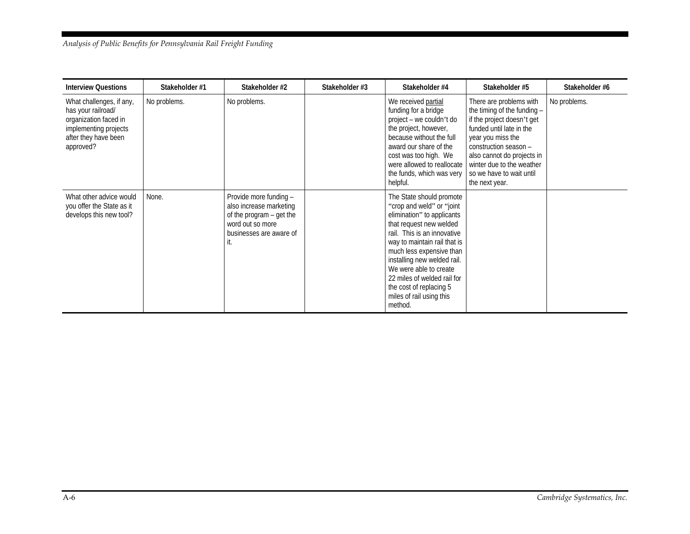#### *Analysis of Public Benefits for Pennsylvania Rail Freight Funding*

| <b>Interview Questions</b>                                                                                                            | Stakeholder #1 | Stakeholder #2                                                                                                                     | Stakeholder #3 | Stakeholder #4                                                                                                                                                                                                                                                                                                                                                       | Stakeholder #5                                                                                                                                                                                                                                                          | Stakeholder #6 |
|---------------------------------------------------------------------------------------------------------------------------------------|----------------|------------------------------------------------------------------------------------------------------------------------------------|----------------|----------------------------------------------------------------------------------------------------------------------------------------------------------------------------------------------------------------------------------------------------------------------------------------------------------------------------------------------------------------------|-------------------------------------------------------------------------------------------------------------------------------------------------------------------------------------------------------------------------------------------------------------------------|----------------|
| What challenges, if any,<br>has your railroad/<br>organization faced in<br>implementing projects<br>after they have been<br>approved? | No problems.   | No problems.                                                                                                                       |                | We received partial<br>funding for a bridge<br>project - we couldn't do<br>the project, however,<br>because without the full<br>award our share of the<br>cost was too high. We<br>were allowed to reallocate<br>the funds, which was very<br>helpful.                                                                                                               | There are problems with<br>the timing of the funding -<br>if the project doesn't get<br>funded until late in the<br>year you miss the<br>construction season -<br>also cannot do projects in<br>winter due to the weather<br>so we have to wait until<br>the next year. | No problems.   |
| What other advice would<br>you offer the State as it<br>develops this new tool?                                                       | None.          | Provide more funding -<br>also increase marketing<br>of the program – get the<br>word out so more<br>businesses are aware of<br>ц. |                | The State should promote<br>"crop and weld" or "joint"<br>elimination" to applicants<br>that request new welded<br>rail. This is an innovative<br>way to maintain rail that is<br>much less expensive than<br>installing new welded rail.<br>We were able to create<br>22 miles of welded rail for<br>the cost of replacing 5<br>miles of rail using this<br>method. |                                                                                                                                                                                                                                                                         |                |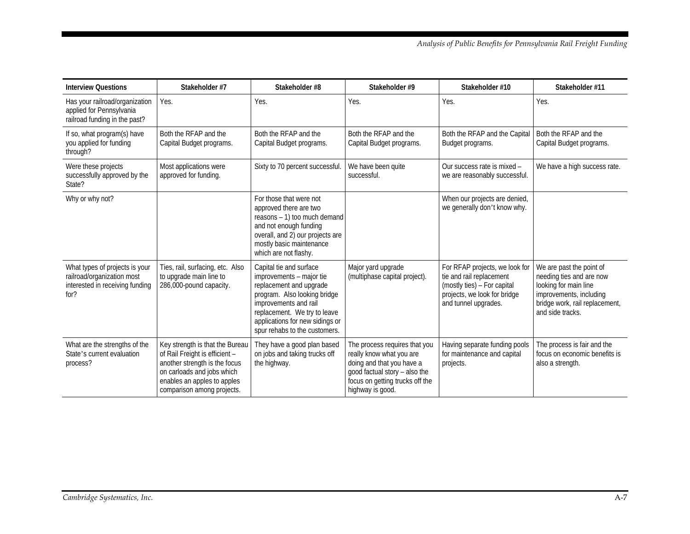| <b>Interview Questions</b>                                                                              | Stakeholder #7                                                                                                                                                                                | Stakeholder #8                                                                                                                                                                                                                              | Stakeholder #9                                                                                                                                                                 | Stakeholder #10                                                                                                                                   | Stakeholder #11                                                                                                                                                |
|---------------------------------------------------------------------------------------------------------|-----------------------------------------------------------------------------------------------------------------------------------------------------------------------------------------------|---------------------------------------------------------------------------------------------------------------------------------------------------------------------------------------------------------------------------------------------|--------------------------------------------------------------------------------------------------------------------------------------------------------------------------------|---------------------------------------------------------------------------------------------------------------------------------------------------|----------------------------------------------------------------------------------------------------------------------------------------------------------------|
| Has your railroad/organization<br>applied for Pennsylvania<br>railroad funding in the past?             | Yes.                                                                                                                                                                                          | Yes.                                                                                                                                                                                                                                        | Yes.                                                                                                                                                                           | Yes.                                                                                                                                              | Yes.                                                                                                                                                           |
| If so, what program(s) have<br>you applied for funding<br>through?                                      | Both the RFAP and the<br>Capital Budget programs.                                                                                                                                             | Both the RFAP and the<br>Capital Budget programs.                                                                                                                                                                                           | Both the RFAP and the<br>Capital Budget programs.                                                                                                                              | Both the RFAP and the Capital<br>Budget programs.                                                                                                 | Both the RFAP and the<br>Capital Budget programs.                                                                                                              |
| Were these projects<br>successfully approved by the<br>State?                                           | Most applications were<br>approved for funding.                                                                                                                                               | Sixty to 70 percent successful.                                                                                                                                                                                                             | We have been quite<br>successful.                                                                                                                                              | Our success rate is mixed -<br>we are reasonably successful.                                                                                      | We have a high success rate.                                                                                                                                   |
| Why or why not?                                                                                         |                                                                                                                                                                                               | For those that were not<br>approved there are two<br>reasons - 1) too much demand<br>and not enough funding<br>overall, and 2) our projects are<br>mostly basic maintenance<br>which are not flashy.                                        |                                                                                                                                                                                | When our projects are denied,<br>we generally don't know why.                                                                                     |                                                                                                                                                                |
| What types of projects is your<br>railroad/organization most<br>interested in receiving funding<br>for? | Ties, rail, surfacing, etc. Also<br>to upgrade main line to<br>286,000-pound capacity.                                                                                                        | Capital tie and surface<br>improvements - major tie<br>replacement and upgrade<br>program. Also looking bridge<br>improvements and rail<br>replacement. We try to leave<br>applications for new sidings or<br>spur rehabs to the customers. | Major yard upgrade<br>(multiphase capital project).                                                                                                                            | For RFAP projects, we look for<br>tie and rail replacement<br>(mostly ties) - For capital<br>projects, we look for bridge<br>and tunnel upgrades. | We are past the point of<br>needing ties and are now<br>looking for main line<br>improvements, including<br>bridge work, rail replacement,<br>and side tracks. |
| What are the strengths of the<br>State's current evaluation<br>process?                                 | Key strength is that the Bureau<br>of Rail Freight is efficient -<br>another strength is the focus<br>on carloads and jobs which<br>enables an apples to apples<br>comparison among projects. | They have a good plan based<br>on jobs and taking trucks off<br>the highway.                                                                                                                                                                | The process requires that you<br>really know what you are<br>doing and that you have a<br>good factual story - also the<br>focus on getting trucks off the<br>highway is good. | Having separate funding pools<br>for maintenance and capital<br>projects.                                                                         | The process is fair and the<br>focus on economic benefits is<br>also a strength.                                                                               |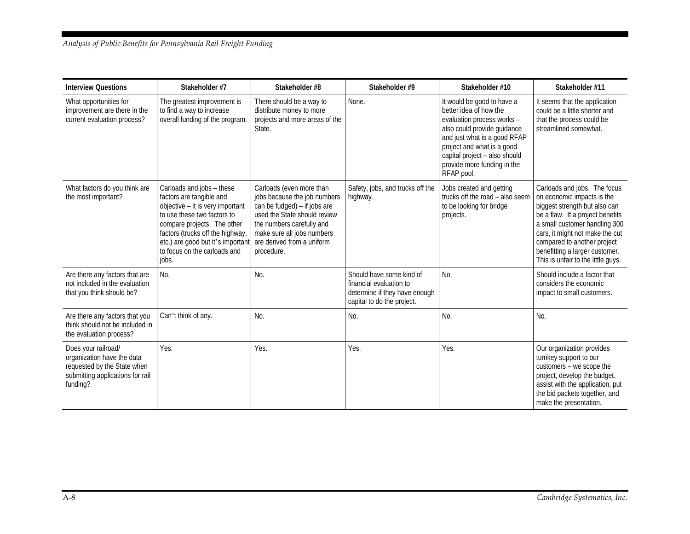| <b>Interview Questions</b>                                                                                                       | Stakeholder #7                                                                                                                                                                                                                                                            | Stakeholder #8                                                                                                                                                                                                                  | Stakeholder #9                                                                                                     | Stakeholder #10                                                                                                                                                                                                                                               | Stakeholder #11                                                                                                                                                                                                                                                                                            |
|----------------------------------------------------------------------------------------------------------------------------------|---------------------------------------------------------------------------------------------------------------------------------------------------------------------------------------------------------------------------------------------------------------------------|---------------------------------------------------------------------------------------------------------------------------------------------------------------------------------------------------------------------------------|--------------------------------------------------------------------------------------------------------------------|---------------------------------------------------------------------------------------------------------------------------------------------------------------------------------------------------------------------------------------------------------------|------------------------------------------------------------------------------------------------------------------------------------------------------------------------------------------------------------------------------------------------------------------------------------------------------------|
| What opportunities for<br>improvement are there in the<br>current evaluation process?                                            | The greatest improvement is<br>to find a way to increase<br>overall funding of the program.                                                                                                                                                                               | There should be a way to<br>distribute money to more<br>projects and more areas of the<br>State.                                                                                                                                | None.                                                                                                              | It would be good to have a<br>better idea of how the<br>evaluation process works -<br>also could provide guidance<br>and just what is a good RFAP<br>project and what is a good<br>capital project - also should<br>provide more funding in the<br>RFAP pool. | It seems that the application<br>could be a little shorter and<br>that the process could be<br>streamlined somewhat.                                                                                                                                                                                       |
| What factors do you think are<br>the most important?                                                                             | Carloads and jobs - these<br>factors are tangible and<br>objective - it is very important<br>to use these two factors to<br>compare projects. The other<br>factors (trucks off the highway,<br>etc.) are good but it's important<br>to focus on the carloads and<br>jobs. | Carloads (even more than<br>jobs because the job numbers<br>can be fudged) – if jobs are<br>used the State should review<br>the numbers carefully and<br>make sure all jobs numbers<br>are derived from a uniform<br>procedure. | Safety, jobs, and trucks off the<br>highway.                                                                       | Jobs created and getting<br>trucks off the road - also seem<br>to be looking for bridge<br>projects.                                                                                                                                                          | Carloads and jobs. The focus<br>on economic impacts is the<br>biggest strength but also can<br>be a flaw. If a project benefits<br>a small customer handling 300<br>cars, it might not make the cut<br>compared to another project<br>benefitting a larger customer.<br>This is unfair to the little guys. |
| Are there any factors that are<br>not included in the evaluation<br>that you think should be?                                    | No.                                                                                                                                                                                                                                                                       | No.                                                                                                                                                                                                                             | Should have some kind of<br>financial evaluation to<br>determine if they have enough<br>capital to do the project. | No.                                                                                                                                                                                                                                                           | Should include a factor that<br>considers the economic<br>impact to small customers.                                                                                                                                                                                                                       |
| Are there any factors that you<br>think should not be included in<br>the evaluation process?                                     | Can't think of any.                                                                                                                                                                                                                                                       | No.                                                                                                                                                                                                                             | No.                                                                                                                | No.                                                                                                                                                                                                                                                           | No.                                                                                                                                                                                                                                                                                                        |
| Does your railroad/<br>organization have the data<br>requested by the State when<br>submitting applications for rail<br>funding? | Yes.                                                                                                                                                                                                                                                                      | Yes.                                                                                                                                                                                                                            | Yes.                                                                                                               | Yes.                                                                                                                                                                                                                                                          | Our organization provides<br>turnkey support to our<br>customers - we scope the<br>project, develop the budget,<br>assist with the application, put<br>the bid packets together, and<br>make the presentation.                                                                                             |